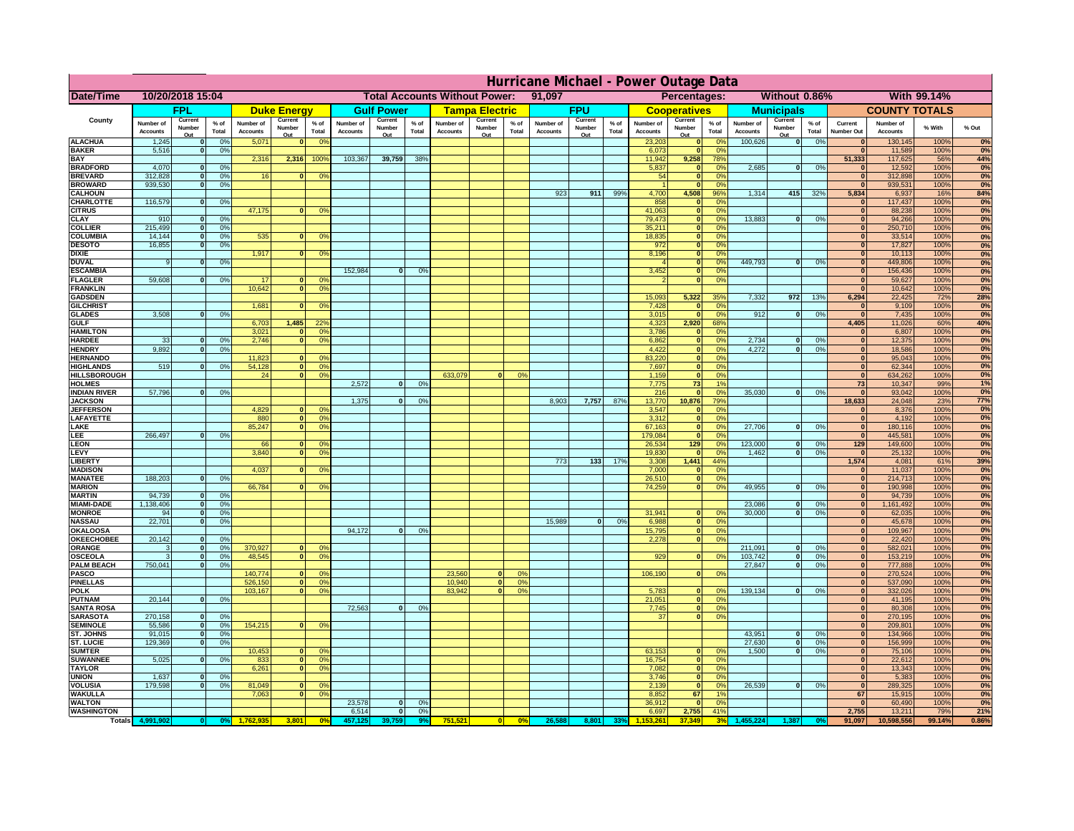| Without 0.86%<br>With 99.14%<br>Date/Time<br>10/20/2018 15:04<br><b>Total Accounts Without Power:</b><br>91,097<br>Percentages:<br><b>FPU</b><br><b>COUNTY TOTALS</b><br>FPL<br><b>Gulf Power</b><br><b>Municipals</b><br><b>Duke Energy</b><br><b>Tampa Electric</b><br><b>Cooperatives</b><br>County<br>Current<br>Current<br>Current<br>Current<br>Current<br>Current<br>Current<br>$%$ of<br>$%$ of<br>$%$ of<br>Number of<br>$%$ of<br>Number of<br>Number of<br>% of<br>Number of<br>Number of<br>$%$ of<br>Number of<br>Number of<br>$%$ of<br>Current<br>Number of<br>% With<br>% Out<br>Number<br>Number<br>Number<br>Number<br>Number<br>Number<br>Number<br>Total<br>Total<br>Total<br>Total<br><b>Accounts</b><br>Total<br><b>Accounts</b><br><b>Accounts</b><br>Total<br>Total<br><b>Accounts</b><br><b>Accounts</b><br><b>Number Out</b><br><b>Accounts</b><br><b>Accounts</b><br>Accounts<br>Out<br>Out<br>Out<br>Out<br>Out<br>Out<br>Out<br><b>ALACHUA</b><br>1,245<br>0%<br>5,071<br>0 <sup>9</sup><br>23,203<br>100,626<br> 0 <br>0%<br>130,145<br>100%<br>0%<br>$\mathbf{0}$<br>$\mathbf{0}$<br> 0 <br>0 <sup>9</sup><br>$\bf{0}$<br><b>BAKER</b><br>5,516<br>0%<br>6,073<br> 0 <br>0%<br>11,589<br>100%<br> 0 <br>$\mathbf{0}$<br><b>BAY</b><br>2,316<br>2,316<br>100%<br>103,367<br>39,759<br>38%<br>11,942<br>9,258<br>78%<br>51,333<br>117,625<br>56%<br>44%<br><b>BRADFORD</b><br>4,070<br>0%<br>5,837<br>2,685<br> 0 <br>0%<br>12,592<br>100%<br>$\mathbf{0}$<br> 0 <br>0%<br>$\bf{0}$<br>0%<br><b>BREVARD</b><br>312,828<br>0%<br>16<br>0 <sup>o</sup><br>54<br> 0 <br>0%<br>$\mathbf{0}$<br>312,898<br>100%<br> 0 <br>$\mathbf{0}$<br><b>BROWARD</b><br>939.530<br> 0 <br>0%<br> 0 <br>0%<br>$\bf{0}$<br>939,531<br>100%<br>4,700<br>1,314<br>415<br>5,834<br><b>CALHOUN</b><br>923<br>911<br>99%<br>4,508<br>96%<br>32%<br>6,937<br>16%<br>84%<br>116,579<br>0%<br>CHARLOTTE<br> 0 <br>858<br> 0 <br>0 <sup>9</sup><br>117,437<br>100%<br>0%<br>47,175<br>41,063<br> 0 <br>88,238<br>100%<br><b>CITRUS</b><br>0 <sup>o</sup><br>0 <sup>9</sup><br>$\bf{0}$<br>$\mathbf{0}$<br>79,473<br><b>CLAY</b><br>13,883<br>94,266<br>100%<br>910<br>0%<br> 0 <br>0 <sup>9</sup><br>$\mathbf{0}$<br>0%<br>0%<br>$\mathbf{0}$<br>$\bf{0}$<br>215,499<br>35,211<br><b>COLLIER</b><br>250,710<br>100%<br>$\mathbf{0}$<br>0 <sup>9</sup><br> 0 <br>0%<br>0%<br>$\bf{0}$<br>535<br><b>COLUMBIA</b><br>14,144<br>18,835<br> 0 <br>0%<br>33,514<br>100%<br>$\mathbf 0$<br>0%<br>0 <sup>9</sup><br>$\bf{0}$<br>0%<br>$\mathbf{0}$<br>972<br>17,827<br><b>DESOTO</b><br>16,855<br> 0 <br>0%<br>100%<br>$\mathbf{0}$<br>0%<br>$\bf{0}$<br>1,917<br>8,196<br>10,113<br>100%<br><b>DIXIE</b><br> 0 <br>0%<br>0%<br>$\mathbf{0}$<br>0 <sup>9</sup><br>$\Omega$<br>449.793<br><b>DUVAL</b><br>0%<br>449,806<br>100%<br> 0 <br>0%<br>$\overline{0}$<br>0%<br>0%<br>9<br>$\Omega$<br>$\Omega$<br>152,984<br>3,452<br><b>ESCAMBIA</b><br>0%<br>156,436<br>100%<br>$\mathbf{0}$<br>0 <sup>9</sup><br> 0 <br>$\Omega$<br>0%<br>59,608<br>0%<br>59,627<br><b>FLAGLER</b><br>0%<br> 0 <br>100%<br>0%<br>17<br>0 <sup>o</sup><br>$\mathbf{0}$<br>$\overline{0}$<br>$\bf{0}$<br><b>FRANKLIN</b><br>10,642<br>10,642<br>100%<br> 0 <br>0 <sup>9</sup><br>0%<br>$\Omega$<br>15,093<br>5,322<br>7,332<br>6,294<br>22,425<br><b>72%</b><br><b>GADSDEN</b><br>35%<br>972<br>13%<br>28%<br>1,681<br>7,428<br>0%<br>9,109<br>100%<br><b>GILCHRIST</b><br>0 <sup>9</sup><br>0%<br>$\mathbf{0}$<br> 0 <br>$\mathbf{0}$<br>3,508<br>0%<br>3,015<br> 0 <br>0%<br>912<br>$\overline{0}$<br>0%<br> 0 <br>7,435<br>100%<br><b>GLADES</b><br> 0 <br>0%<br>1,485<br>6,703<br>22 <sup>o</sup><br>4,323<br>2,920<br>68%<br>4,405<br>11,026<br>60%<br>40%<br><b>GULF</b><br><b>HAMILTON</b><br>3,021<br>0 <sup>9</sup><br>3,786<br>0%<br>6,807<br>100%<br>$\Omega$<br> 0 <br>$\Omega$<br>0%<br>33<br>0%<br>2.746<br>$\overline{0}$<br>$\overline{0}$<br>2.734<br> 0 <br>12,375<br><b>HARDEE</b><br>$\overline{0}$<br>0 <sup>9</sup><br>6.862<br>0%<br>$\mathbf{0}$<br>0%<br>100%<br>0%<br><b>HENDRY</b><br>9,892<br>$\Omega$<br>0%<br>4,422<br> 0 <br>0%<br>4,272<br>$\Omega$<br>0%<br> 0 <br>18,586<br>100%<br>0%<br>11,823<br><b>HERNANDO</b><br>0 <sup>9</sup><br>83,220<br> 0 <br>0%<br> 0 <br>95,043<br>100%<br>$\mathbf{0}$<br>0%<br>519<br>54,128<br>7,697<br><b>HIGHLANDS</b><br>0 <sup>9</sup><br> 0 <br>0 <sup>9</sup><br> 0 <br>0%<br>$\mathbf{0}$<br>62,344<br>100%<br>0%<br>$\mathbf{0}$<br>633,079<br>1,159<br><b>HILLSBOROUGH</b><br>24<br> 0 <br>0 <sup>9</sup><br>0%<br> 0 <br>0%<br> 0 <br>634,262<br>100%<br>0%<br>2.572<br>7.775<br>73<br><b>HOLMES</b><br>$\mathbf{0}$<br>0%<br>1%<br>73<br>10,347<br>99%<br>1%<br>57,796<br>35,030<br><b>INDIAN RIVER</b><br>$\mathbf{0}$<br>0%<br>216<br> 0 <br>0%<br>$\mathbf{0}$<br>0%<br>$\mathbf{0}$<br>93,042<br>100%<br>0%<br>1.375<br>8.903<br>7,757<br>87%<br>13,770<br>79%<br>18.633<br>24,048<br><b>JACKSON</b><br>$\mathbf{0}$<br>0 <sup>9</sup><br>10.876<br>23%<br>77%<br>4.829<br>3.547<br>8.376<br><b>JEFFERSON</b><br>n l<br>0 <sup>9</sup><br> 0 <br>0%<br>$\mathbf{0}$<br>100%<br>0%<br> 0 <br>3.312<br>4.192<br>0%<br>LAFAYETTE<br>880<br>0 <sup>9</sup><br> 0 <br>0%<br> 0 <br>100%<br>85,247<br>$\mathbf{0}$<br>67,163<br> 0 <br>27,706<br>180,116<br>0%<br>LAKE<br>0 <sup>9</sup><br>0%<br>$\Omega$<br>0%<br> 0 <br>100%<br>266,497<br>0%<br>179,084<br> 0 <br>0%<br> 0 <br>445,581<br>100%<br>0%<br>EE.<br>0<br>123,000<br>26,534<br>129<br>0%<br>129<br>149,600<br>100%<br>0%<br><b>LEON</b><br>66<br>$\mathbf{0}$<br>0 <sup>o</sup><br>$\mathbf{0}$<br>0%<br>LEVY<br>3,840<br>0 <sup>9</sup><br>19,830<br>1,462<br>-ol<br>0%<br>25,132<br>100%<br>0%<br>$\Omega$<br> 0 <br>0%<br> 0 <br>39%<br>LIBERTY<br>773<br>$133$<br>17%<br>3,308<br>1,441<br>44%<br>1,574<br>4,081<br>61%<br>0%<br><b>MADISON</b><br>4,037<br>0 <sup>9</sup><br>7,000<br>0%<br> 0 <br>11,037<br>100%<br>$\Omega$<br> 0 <br>188,203<br>0%<br><b>MANATEE</b><br> 0 <br>0%<br>26,510<br> 0 <br>0%<br> 0 <br>214,713<br>100%<br>66,784<br>49,955<br><b>MARION</b><br>0 <sup>9</sup><br>74,259<br> 0 <br>0%<br>nl<br>0%<br> 0 <br>190,998<br>100%<br>$\mathbf{0}$<br>0%<br>94,739<br><b>MARTIN</b><br> 0 <br>0%<br> 0 <br>94,739<br>100%<br>0%<br>1,138,406<br>23,086<br><b>MIAMI-DADE</b><br> 0 <br>0%<br>$\mathbf{0}$<br>0%<br> 0 <br>1,161,492<br>100%<br>0%<br>31,941<br><b>MONROE</b><br>94<br> 0 <br>0%<br>30,000<br> 0 <br>0%<br> 0 <br>62,035<br>100%<br>$\overline{0}$<br>0 <sup>9</sup><br>0%<br>22,701<br>15,989<br><b>NASSAU</b><br>0%<br> 0 <br>0%<br> 0 <br>6,988<br> 0 <br>0%<br> 0 <br>45,678<br>100%<br>94,172<br><b>OKALOOSA</b><br>$\mathbf{0}$<br>0%<br>15,795<br> 0 <br>0%<br> 0 <br>109,967<br>100%<br>20,142<br>0%<br>0%<br><b>OKEECHOBEE</b><br>0%<br>2,278<br> 0 <br> 0 <br> 0 <br>22,420<br>100%<br>211,091<br>370,927<br>0%<br>ORANGE<br>0%<br>$\overline{\mathbf{0}}$<br>582,021<br> 0 <br> 0 <br>0 <sup>o</sup><br>0%<br> 0 <br>100%<br>3<br>48,545<br>929<br>103,742<br>0%<br>0 <sup>9</sup><br> 0 <br>0%<br> 0 <br>0%<br>153,219<br><b>OSCEOLA</b><br> 0 <br> 0 <br> 0 <br>100%<br>3<br>750,041<br><b>PALM BEACH</b><br>27,847<br>$\overline{\mathbf{0}}$<br>0%<br>777,888<br>100%<br>0%<br> 0 <br> 0 <br>140,774<br><b>PASCO</b><br>23,560<br>106,190<br> 0 <br>270,524<br>100%<br>0%<br> 0 <br>0%<br>$\Omega$<br>$^{\circ}$<br>$^{\circ}$<br>$\Omega$<br><b>PINELLAS</b><br>526,150<br>0 <sup>9</sup><br>10,940<br>0%<br>537,090<br>100%<br>0%<br> 0 <br> 0 <br>$\mathbf{0}$<br>83,942<br>139,134<br><b>POLK</b><br>103,167<br>0 <sup>9</sup><br>0%<br>5,783<br> 0 <br>0%<br>332,026<br>100%<br> 0 <br>$\mathbf{a}$<br> 0 <br> 0 <br>$\Omega$<br>20,144<br>0%<br>21,051<br><b>PUTNAM</b><br> 0 <br>$\ddot{\text{o}}$<br>0%<br>41,195<br>100%<br>0%<br>$\bf{0}$<br>72,563<br><b>SANTA ROSA</b><br> 0 <br>0%<br>7,745<br> 0 <br>0%<br>80,308<br>100%<br>0%<br>$\mathbf{0}$<br>270,158<br><b>SARASOTA</b><br> 0 <br>0%<br>37<br> 0 <br>0%<br> 0 <br>270,195<br>100%<br>0%<br>55,586<br>154,215<br>209,801<br><b>SEMINOLE</b><br> 0 <br>0%<br>$\mathbf{0}$<br>0 <sup>9</sup><br> 0 <br>100%<br>91,015<br>43,951<br><b>ST. JOHNS</b><br> 0 <br>0%<br>-ol<br>0%<br> 0 <br>134,966<br>100%<br>129.369<br>27.630<br>156,999<br>0%<br><b>ST. LUCIE</b><br>$\mathbf{0}$<br>0%<br>- O I<br>0%<br> 0 <br>100%<br>10,453<br>63,153<br>1.500<br>0%<br>75,106<br>0%<br><b>SUMTER</b><br>$\overline{0}$<br>0 <sup>9</sup><br> 0 <br>0%<br>0<br> 0 <br>100%<br>5,025<br><b>SUWANNEE</b><br>0%<br> 0 <br>16,754<br> 0 <br>0%<br>22,612<br>100%<br>0%<br> 0 <br>833<br>0 <sup>o</sup><br>$\mathbf{0}$<br><b>TAYLOR</b><br>6,261<br> 0 <br>0 <sup>9</sup><br>7,082<br> 0 <br>0%<br>13,343<br>100%<br>0%<br> 0 <br>1,637<br>0%<br>3,746<br> 0 <br>0%<br>5,383<br>100%<br>0%<br><b>UNION</b><br>$\mathbf{0}$<br> 0 <br>26,539<br><b>VOLUSIA</b><br>179,598<br>0%<br>81,049<br>2,139<br> 0 <br>0%<br>0<br>0%<br>289,325<br>100%<br>0%<br>0<br>$\mathbf{0}$<br>$\mathbf{0}$<br>$\mathbf{0}$<br>67<br><b>WAKULLA</b><br>7,063<br>0 <sup>9</sup><br>8,852<br>1%<br>67<br>15,915<br>100%<br>0%<br>$\mathbf{0}$<br>23,578<br>0%<br><b>WALTON</b><br>$\mathbf{0}$<br>0%<br>36,912<br> 0 <br>0%<br>60,490<br>100%<br>$\mathbf{0}$<br>2,755<br>6,514<br>2,755<br><b>WASHINGTON</b><br> 0 <br>0%<br>6,697<br>41%<br>13,211<br>79%<br>21%<br>751,521<br>0%<br>26,588<br>37.349<br>91,097<br>0.86%<br><b>Totals</b><br>3,801<br>0 <sup>6</sup><br> 0 <br>8,801<br>3 <sup>0</sup><br>10,598,556<br>99.14%<br>33% | Hurricane Michael - Power Outage Data |  |  |  |  |  |  |  |  |  |  |  |  |  |  |  |  |  |  |  |  |  |    |
|-----------------------------------------------------------------------------------------------------------------------------------------------------------------------------------------------------------------------------------------------------------------------------------------------------------------------------------------------------------------------------------------------------------------------------------------------------------------------------------------------------------------------------------------------------------------------------------------------------------------------------------------------------------------------------------------------------------------------------------------------------------------------------------------------------------------------------------------------------------------------------------------------------------------------------------------------------------------------------------------------------------------------------------------------------------------------------------------------------------------------------------------------------------------------------------------------------------------------------------------------------------------------------------------------------------------------------------------------------------------------------------------------------------------------------------------------------------------------------------------------------------------------------------------------------------------------------------------------------------------------------------------------------------------------------------------------------------------------------------------------------------------------------------------------------------------------------------------------------------------------------------------------------------------------------------------------------------------------------------------------------------------------------------------------------------------------------------------------------------------------------------------------------------------------------------------------------------------------------------------------------------------------------------------------------------------------------------------------------------------------------------------------------------------------------------------------------------------------------------------------------------------------------------------------------------------------------------------------------------------------------------------------------------------------------------------------------------------------------------------------------------------------------------------------------------------------------------------------------------------------------------------------------------------------------------------------------------------------------------------------------------------------------------------------------------------------------------------------------------------------------------------------------------------------------------------------------------------------------------------------------------------------------------------------------------------------------------------------------------------------------------------------------------------------------------------------------------------------------------------------------------------------------------------------------------------------------------------------------------------------------------------------------------------------------------------------------------------------------------------------------------------------------------------------------------------------------------------------------------------------------------------------------------------------------------------------------------------------------------------------------------------------------------------------------------------------------------------------------------------------------------------------------------------------------------------------------------------------------------------------------------------------------------------------------------------------------------------------------------------------------------------------------------------------------------------------------------------------------------------------------------------------------------------------------------------------------------------------------------------------------------------------------------------------------------------------------------------------------------------------------------------------------------------------------------------------------------------------------------------------------------------------------------------------------------------------------------------------------------------------------------------------------------------------------------------------------------------------------------------------------------------------------------------------------------------------------------------------------------------------------------------------------------------------------------------------------------------------------------------------------------------------------------------------------------------------------------------------------------------------------------------------------------------------------------------------------------------------------------------------------------------------------------------------------------------------------------------------------------------------------------------------------------------------------------------------------------------------------------------------------------------------------------------------------------------------------------------------------------------------------------------------------------------------------------------------------------------------------------------------------------------------------------------------------------------------------------------------------------------------------------------------------------------------------------------------------------------------------------------------------------------------------------------------------------------------------------------------------------------------------------------------------------------------------------------------------------------------------------------------------------------------------------------------------------------------------------------------------------------------------------------------------------------------------------------------------------------------------------------------------------------------------------------------------------------------------------------------------------------------------------------------------------------------------------------------------------------------------------------------------------------------------------------------------------------------------------------------------------------------------------------------------------------------------------------------------------------------------------------------------------------------------------------------------------------------------------------------------------------------------------------------------------------------------------------------------------------------------------------------------------------------------------------------------------------------------------------------------------------------------------------------------------------------------------------------------------------------------------------------------------------------------------------------------------------------------------------------------------------------------------------------------------------------------------------------------------------------------------------------------------------------------------------------------------------------------------------------------------------------------------------------------------------------------------------------------------------------------------------------------------------------------------------------------------------------------------------------------------------------------------------------------------------------------------------------------------------------------------------------------------------------------------------------------------------------------------------------------------------------------------------------------------------------------------------------------------------------------------------------------------------------------------------------------------------------------------------------------------------------------------------------------------------------------------------------------------------------------------------------------------------------------------------------------------------------------------------------------------------------------------------------------------------------------------------------------------------------------------------------------------------------------------------------------------------------------------------------------------------------------------------------------------------|---------------------------------------|--|--|--|--|--|--|--|--|--|--|--|--|--|--|--|--|--|--|--|--|--|----|
|                                                                                                                                                                                                                                                                                                                                                                                                                                                                                                                                                                                                                                                                                                                                                                                                                                                                                                                                                                                                                                                                                                                                                                                                                                                                                                                                                                                                                                                                                                                                                                                                                                                                                                                                                                                                                                                                                                                                                                                                                                                                                                                                                                                                                                                                                                                                                                                                                                                                                                                                                                                                                                                                                                                                                                                                                                                                                                                                                                                                                                                                                                                                                                                                                                                                                                                                                                                                                                                                                                                                                                                                                                                                                                                                                                                                                                                                                                                                                                                                                                                                                                                                                                                                                                                                                                                                                                                                                                                                                                                                                                                                                                                                                                                                                                                                                                                                                                                                                                                                                                                                                                                                                                                                                                                                                                                                                                                                                                                                                                                                                                                                                                                                                                                                                                                                                                                                                                                                                                                                                                                                                                                                                                                                                                                                                                                                                                                                                                                                                                                                                                                                                                                                                                                                                                                                                                                                                                                                                                                                                                                                                                                                                                                                                                                                                                                                                                                                                                                                                                                                                                                                                                                                                                                                                                                                                                                                                                                                                                                                                                                                                                                                                                                                                                                                                                                                                                                                                                                                                                                                                                                                                                                                                                                                                                                                                                                                                                                                                                                                                                                                                                                                                                                                                                                                                                                                                                                                                                                                                                                                         |                                       |  |  |  |  |  |  |  |  |  |  |  |  |  |  |  |  |  |  |  |  |  |    |
|                                                                                                                                                                                                                                                                                                                                                                                                                                                                                                                                                                                                                                                                                                                                                                                                                                                                                                                                                                                                                                                                                                                                                                                                                                                                                                                                                                                                                                                                                                                                                                                                                                                                                                                                                                                                                                                                                                                                                                                                                                                                                                                                                                                                                                                                                                                                                                                                                                                                                                                                                                                                                                                                                                                                                                                                                                                                                                                                                                                                                                                                                                                                                                                                                                                                                                                                                                                                                                                                                                                                                                                                                                                                                                                                                                                                                                                                                                                                                                                                                                                                                                                                                                                                                                                                                                                                                                                                                                                                                                                                                                                                                                                                                                                                                                                                                                                                                                                                                                                                                                                                                                                                                                                                                                                                                                                                                                                                                                                                                                                                                                                                                                                                                                                                                                                                                                                                                                                                                                                                                                                                                                                                                                                                                                                                                                                                                                                                                                                                                                                                                                                                                                                                                                                                                                                                                                                                                                                                                                                                                                                                                                                                                                                                                                                                                                                                                                                                                                                                                                                                                                                                                                                                                                                                                                                                                                                                                                                                                                                                                                                                                                                                                                                                                                                                                                                                                                                                                                                                                                                                                                                                                                                                                                                                                                                                                                                                                                                                                                                                                                                                                                                                                                                                                                                                                                                                                                                                                                                                                                                                         |                                       |  |  |  |  |  |  |  |  |  |  |  |  |  |  |  |  |  |  |  |  |  |    |
|                                                                                                                                                                                                                                                                                                                                                                                                                                                                                                                                                                                                                                                                                                                                                                                                                                                                                                                                                                                                                                                                                                                                                                                                                                                                                                                                                                                                                                                                                                                                                                                                                                                                                                                                                                                                                                                                                                                                                                                                                                                                                                                                                                                                                                                                                                                                                                                                                                                                                                                                                                                                                                                                                                                                                                                                                                                                                                                                                                                                                                                                                                                                                                                                                                                                                                                                                                                                                                                                                                                                                                                                                                                                                                                                                                                                                                                                                                                                                                                                                                                                                                                                                                                                                                                                                                                                                                                                                                                                                                                                                                                                                                                                                                                                                                                                                                                                                                                                                                                                                                                                                                                                                                                                                                                                                                                                                                                                                                                                                                                                                                                                                                                                                                                                                                                                                                                                                                                                                                                                                                                                                                                                                                                                                                                                                                                                                                                                                                                                                                                                                                                                                                                                                                                                                                                                                                                                                                                                                                                                                                                                                                                                                                                                                                                                                                                                                                                                                                                                                                                                                                                                                                                                                                                                                                                                                                                                                                                                                                                                                                                                                                                                                                                                                                                                                                                                                                                                                                                                                                                                                                                                                                                                                                                                                                                                                                                                                                                                                                                                                                                                                                                                                                                                                                                                                                                                                                                                                                                                                                                                         |                                       |  |  |  |  |  |  |  |  |  |  |  |  |  |  |  |  |  |  |  |  |  |    |
|                                                                                                                                                                                                                                                                                                                                                                                                                                                                                                                                                                                                                                                                                                                                                                                                                                                                                                                                                                                                                                                                                                                                                                                                                                                                                                                                                                                                                                                                                                                                                                                                                                                                                                                                                                                                                                                                                                                                                                                                                                                                                                                                                                                                                                                                                                                                                                                                                                                                                                                                                                                                                                                                                                                                                                                                                                                                                                                                                                                                                                                                                                                                                                                                                                                                                                                                                                                                                                                                                                                                                                                                                                                                                                                                                                                                                                                                                                                                                                                                                                                                                                                                                                                                                                                                                                                                                                                                                                                                                                                                                                                                                                                                                                                                                                                                                                                                                                                                                                                                                                                                                                                                                                                                                                                                                                                                                                                                                                                                                                                                                                                                                                                                                                                                                                                                                                                                                                                                                                                                                                                                                                                                                                                                                                                                                                                                                                                                                                                                                                                                                                                                                                                                                                                                                                                                                                                                                                                                                                                                                                                                                                                                                                                                                                                                                                                                                                                                                                                                                                                                                                                                                                                                                                                                                                                                                                                                                                                                                                                                                                                                                                                                                                                                                                                                                                                                                                                                                                                                                                                                                                                                                                                                                                                                                                                                                                                                                                                                                                                                                                                                                                                                                                                                                                                                                                                                                                                                                                                                                                                                         |                                       |  |  |  |  |  |  |  |  |  |  |  |  |  |  |  |  |  |  |  |  |  |    |
|                                                                                                                                                                                                                                                                                                                                                                                                                                                                                                                                                                                                                                                                                                                                                                                                                                                                                                                                                                                                                                                                                                                                                                                                                                                                                                                                                                                                                                                                                                                                                                                                                                                                                                                                                                                                                                                                                                                                                                                                                                                                                                                                                                                                                                                                                                                                                                                                                                                                                                                                                                                                                                                                                                                                                                                                                                                                                                                                                                                                                                                                                                                                                                                                                                                                                                                                                                                                                                                                                                                                                                                                                                                                                                                                                                                                                                                                                                                                                                                                                                                                                                                                                                                                                                                                                                                                                                                                                                                                                                                                                                                                                                                                                                                                                                                                                                                                                                                                                                                                                                                                                                                                                                                                                                                                                                                                                                                                                                                                                                                                                                                                                                                                                                                                                                                                                                                                                                                                                                                                                                                                                                                                                                                                                                                                                                                                                                                                                                                                                                                                                                                                                                                                                                                                                                                                                                                                                                                                                                                                                                                                                                                                                                                                                                                                                                                                                                                                                                                                                                                                                                                                                                                                                                                                                                                                                                                                                                                                                                                                                                                                                                                                                                                                                                                                                                                                                                                                                                                                                                                                                                                                                                                                                                                                                                                                                                                                                                                                                                                                                                                                                                                                                                                                                                                                                                                                                                                                                                                                                                                                         |                                       |  |  |  |  |  |  |  |  |  |  |  |  |  |  |  |  |  |  |  |  |  | 0% |
|                                                                                                                                                                                                                                                                                                                                                                                                                                                                                                                                                                                                                                                                                                                                                                                                                                                                                                                                                                                                                                                                                                                                                                                                                                                                                                                                                                                                                                                                                                                                                                                                                                                                                                                                                                                                                                                                                                                                                                                                                                                                                                                                                                                                                                                                                                                                                                                                                                                                                                                                                                                                                                                                                                                                                                                                                                                                                                                                                                                                                                                                                                                                                                                                                                                                                                                                                                                                                                                                                                                                                                                                                                                                                                                                                                                                                                                                                                                                                                                                                                                                                                                                                                                                                                                                                                                                                                                                                                                                                                                                                                                                                                                                                                                                                                                                                                                                                                                                                                                                                                                                                                                                                                                                                                                                                                                                                                                                                                                                                                                                                                                                                                                                                                                                                                                                                                                                                                                                                                                                                                                                                                                                                                                                                                                                                                                                                                                                                                                                                                                                                                                                                                                                                                                                                                                                                                                                                                                                                                                                                                                                                                                                                                                                                                                                                                                                                                                                                                                                                                                                                                                                                                                                                                                                                                                                                                                                                                                                                                                                                                                                                                                                                                                                                                                                                                                                                                                                                                                                                                                                                                                                                                                                                                                                                                                                                                                                                                                                                                                                                                                                                                                                                                                                                                                                                                                                                                                                                                                                                                                                         |                                       |  |  |  |  |  |  |  |  |  |  |  |  |  |  |  |  |  |  |  |  |  |    |
|                                                                                                                                                                                                                                                                                                                                                                                                                                                                                                                                                                                                                                                                                                                                                                                                                                                                                                                                                                                                                                                                                                                                                                                                                                                                                                                                                                                                                                                                                                                                                                                                                                                                                                                                                                                                                                                                                                                                                                                                                                                                                                                                                                                                                                                                                                                                                                                                                                                                                                                                                                                                                                                                                                                                                                                                                                                                                                                                                                                                                                                                                                                                                                                                                                                                                                                                                                                                                                                                                                                                                                                                                                                                                                                                                                                                                                                                                                                                                                                                                                                                                                                                                                                                                                                                                                                                                                                                                                                                                                                                                                                                                                                                                                                                                                                                                                                                                                                                                                                                                                                                                                                                                                                                                                                                                                                                                                                                                                                                                                                                                                                                                                                                                                                                                                                                                                                                                                                                                                                                                                                                                                                                                                                                                                                                                                                                                                                                                                                                                                                                                                                                                                                                                                                                                                                                                                                                                                                                                                                                                                                                                                                                                                                                                                                                                                                                                                                                                                                                                                                                                                                                                                                                                                                                                                                                                                                                                                                                                                                                                                                                                                                                                                                                                                                                                                                                                                                                                                                                                                                                                                                                                                                                                                                                                                                                                                                                                                                                                                                                                                                                                                                                                                                                                                                                                                                                                                                                                                                                                                                                         |                                       |  |  |  |  |  |  |  |  |  |  |  |  |  |  |  |  |  |  |  |  |  | 0% |
|                                                                                                                                                                                                                                                                                                                                                                                                                                                                                                                                                                                                                                                                                                                                                                                                                                                                                                                                                                                                                                                                                                                                                                                                                                                                                                                                                                                                                                                                                                                                                                                                                                                                                                                                                                                                                                                                                                                                                                                                                                                                                                                                                                                                                                                                                                                                                                                                                                                                                                                                                                                                                                                                                                                                                                                                                                                                                                                                                                                                                                                                                                                                                                                                                                                                                                                                                                                                                                                                                                                                                                                                                                                                                                                                                                                                                                                                                                                                                                                                                                                                                                                                                                                                                                                                                                                                                                                                                                                                                                                                                                                                                                                                                                                                                                                                                                                                                                                                                                                                                                                                                                                                                                                                                                                                                                                                                                                                                                                                                                                                                                                                                                                                                                                                                                                                                                                                                                                                                                                                                                                                                                                                                                                                                                                                                                                                                                                                                                                                                                                                                                                                                                                                                                                                                                                                                                                                                                                                                                                                                                                                                                                                                                                                                                                                                                                                                                                                                                                                                                                                                                                                                                                                                                                                                                                                                                                                                                                                                                                                                                                                                                                                                                                                                                                                                                                                                                                                                                                                                                                                                                                                                                                                                                                                                                                                                                                                                                                                                                                                                                                                                                                                                                                                                                                                                                                                                                                                                                                                                                                                         |                                       |  |  |  |  |  |  |  |  |  |  |  |  |  |  |  |  |  |  |  |  |  | 0% |
|                                                                                                                                                                                                                                                                                                                                                                                                                                                                                                                                                                                                                                                                                                                                                                                                                                                                                                                                                                                                                                                                                                                                                                                                                                                                                                                                                                                                                                                                                                                                                                                                                                                                                                                                                                                                                                                                                                                                                                                                                                                                                                                                                                                                                                                                                                                                                                                                                                                                                                                                                                                                                                                                                                                                                                                                                                                                                                                                                                                                                                                                                                                                                                                                                                                                                                                                                                                                                                                                                                                                                                                                                                                                                                                                                                                                                                                                                                                                                                                                                                                                                                                                                                                                                                                                                                                                                                                                                                                                                                                                                                                                                                                                                                                                                                                                                                                                                                                                                                                                                                                                                                                                                                                                                                                                                                                                                                                                                                                                                                                                                                                                                                                                                                                                                                                                                                                                                                                                                                                                                                                                                                                                                                                                                                                                                                                                                                                                                                                                                                                                                                                                                                                                                                                                                                                                                                                                                                                                                                                                                                                                                                                                                                                                                                                                                                                                                                                                                                                                                                                                                                                                                                                                                                                                                                                                                                                                                                                                                                                                                                                                                                                                                                                                                                                                                                                                                                                                                                                                                                                                                                                                                                                                                                                                                                                                                                                                                                                                                                                                                                                                                                                                                                                                                                                                                                                                                                                                                                                                                                                                         |                                       |  |  |  |  |  |  |  |  |  |  |  |  |  |  |  |  |  |  |  |  |  |    |
|                                                                                                                                                                                                                                                                                                                                                                                                                                                                                                                                                                                                                                                                                                                                                                                                                                                                                                                                                                                                                                                                                                                                                                                                                                                                                                                                                                                                                                                                                                                                                                                                                                                                                                                                                                                                                                                                                                                                                                                                                                                                                                                                                                                                                                                                                                                                                                                                                                                                                                                                                                                                                                                                                                                                                                                                                                                                                                                                                                                                                                                                                                                                                                                                                                                                                                                                                                                                                                                                                                                                                                                                                                                                                                                                                                                                                                                                                                                                                                                                                                                                                                                                                                                                                                                                                                                                                                                                                                                                                                                                                                                                                                                                                                                                                                                                                                                                                                                                                                                                                                                                                                                                                                                                                                                                                                                                                                                                                                                                                                                                                                                                                                                                                                                                                                                                                                                                                                                                                                                                                                                                                                                                                                                                                                                                                                                                                                                                                                                                                                                                                                                                                                                                                                                                                                                                                                                                                                                                                                                                                                                                                                                                                                                                                                                                                                                                                                                                                                                                                                                                                                                                                                                                                                                                                                                                                                                                                                                                                                                                                                                                                                                                                                                                                                                                                                                                                                                                                                                                                                                                                                                                                                                                                                                                                                                                                                                                                                                                                                                                                                                                                                                                                                                                                                                                                                                                                                                                                                                                                                                                         |                                       |  |  |  |  |  |  |  |  |  |  |  |  |  |  |  |  |  |  |  |  |  | 0% |
|                                                                                                                                                                                                                                                                                                                                                                                                                                                                                                                                                                                                                                                                                                                                                                                                                                                                                                                                                                                                                                                                                                                                                                                                                                                                                                                                                                                                                                                                                                                                                                                                                                                                                                                                                                                                                                                                                                                                                                                                                                                                                                                                                                                                                                                                                                                                                                                                                                                                                                                                                                                                                                                                                                                                                                                                                                                                                                                                                                                                                                                                                                                                                                                                                                                                                                                                                                                                                                                                                                                                                                                                                                                                                                                                                                                                                                                                                                                                                                                                                                                                                                                                                                                                                                                                                                                                                                                                                                                                                                                                                                                                                                                                                                                                                                                                                                                                                                                                                                                                                                                                                                                                                                                                                                                                                                                                                                                                                                                                                                                                                                                                                                                                                                                                                                                                                                                                                                                                                                                                                                                                                                                                                                                                                                                                                                                                                                                                                                                                                                                                                                                                                                                                                                                                                                                                                                                                                                                                                                                                                                                                                                                                                                                                                                                                                                                                                                                                                                                                                                                                                                                                                                                                                                                                                                                                                                                                                                                                                                                                                                                                                                                                                                                                                                                                                                                                                                                                                                                                                                                                                                                                                                                                                                                                                                                                                                                                                                                                                                                                                                                                                                                                                                                                                                                                                                                                                                                                                                                                                                                                         |                                       |  |  |  |  |  |  |  |  |  |  |  |  |  |  |  |  |  |  |  |  |  |    |
|                                                                                                                                                                                                                                                                                                                                                                                                                                                                                                                                                                                                                                                                                                                                                                                                                                                                                                                                                                                                                                                                                                                                                                                                                                                                                                                                                                                                                                                                                                                                                                                                                                                                                                                                                                                                                                                                                                                                                                                                                                                                                                                                                                                                                                                                                                                                                                                                                                                                                                                                                                                                                                                                                                                                                                                                                                                                                                                                                                                                                                                                                                                                                                                                                                                                                                                                                                                                                                                                                                                                                                                                                                                                                                                                                                                                                                                                                                                                                                                                                                                                                                                                                                                                                                                                                                                                                                                                                                                                                                                                                                                                                                                                                                                                                                                                                                                                                                                                                                                                                                                                                                                                                                                                                                                                                                                                                                                                                                                                                                                                                                                                                                                                                                                                                                                                                                                                                                                                                                                                                                                                                                                                                                                                                                                                                                                                                                                                                                                                                                                                                                                                                                                                                                                                                                                                                                                                                                                                                                                                                                                                                                                                                                                                                                                                                                                                                                                                                                                                                                                                                                                                                                                                                                                                                                                                                                                                                                                                                                                                                                                                                                                                                                                                                                                                                                                                                                                                                                                                                                                                                                                                                                                                                                                                                                                                                                                                                                                                                                                                                                                                                                                                                                                                                                                                                                                                                                                                                                                                                                                                         |                                       |  |  |  |  |  |  |  |  |  |  |  |  |  |  |  |  |  |  |  |  |  |    |
|                                                                                                                                                                                                                                                                                                                                                                                                                                                                                                                                                                                                                                                                                                                                                                                                                                                                                                                                                                                                                                                                                                                                                                                                                                                                                                                                                                                                                                                                                                                                                                                                                                                                                                                                                                                                                                                                                                                                                                                                                                                                                                                                                                                                                                                                                                                                                                                                                                                                                                                                                                                                                                                                                                                                                                                                                                                                                                                                                                                                                                                                                                                                                                                                                                                                                                                                                                                                                                                                                                                                                                                                                                                                                                                                                                                                                                                                                                                                                                                                                                                                                                                                                                                                                                                                                                                                                                                                                                                                                                                                                                                                                                                                                                                                                                                                                                                                                                                                                                                                                                                                                                                                                                                                                                                                                                                                                                                                                                                                                                                                                                                                                                                                                                                                                                                                                                                                                                                                                                                                                                                                                                                                                                                                                                                                                                                                                                                                                                                                                                                                                                                                                                                                                                                                                                                                                                                                                                                                                                                                                                                                                                                                                                                                                                                                                                                                                                                                                                                                                                                                                                                                                                                                                                                                                                                                                                                                                                                                                                                                                                                                                                                                                                                                                                                                                                                                                                                                                                                                                                                                                                                                                                                                                                                                                                                                                                                                                                                                                                                                                                                                                                                                                                                                                                                                                                                                                                                                                                                                                                                                         |                                       |  |  |  |  |  |  |  |  |  |  |  |  |  |  |  |  |  |  |  |  |  | 0% |
|                                                                                                                                                                                                                                                                                                                                                                                                                                                                                                                                                                                                                                                                                                                                                                                                                                                                                                                                                                                                                                                                                                                                                                                                                                                                                                                                                                                                                                                                                                                                                                                                                                                                                                                                                                                                                                                                                                                                                                                                                                                                                                                                                                                                                                                                                                                                                                                                                                                                                                                                                                                                                                                                                                                                                                                                                                                                                                                                                                                                                                                                                                                                                                                                                                                                                                                                                                                                                                                                                                                                                                                                                                                                                                                                                                                                                                                                                                                                                                                                                                                                                                                                                                                                                                                                                                                                                                                                                                                                                                                                                                                                                                                                                                                                                                                                                                                                                                                                                                                                                                                                                                                                                                                                                                                                                                                                                                                                                                                                                                                                                                                                                                                                                                                                                                                                                                                                                                                                                                                                                                                                                                                                                                                                                                                                                                                                                                                                                                                                                                                                                                                                                                                                                                                                                                                                                                                                                                                                                                                                                                                                                                                                                                                                                                                                                                                                                                                                                                                                                                                                                                                                                                                                                                                                                                                                                                                                                                                                                                                                                                                                                                                                                                                                                                                                                                                                                                                                                                                                                                                                                                                                                                                                                                                                                                                                                                                                                                                                                                                                                                                                                                                                                                                                                                                                                                                                                                                                                                                                                                                                         |                                       |  |  |  |  |  |  |  |  |  |  |  |  |  |  |  |  |  |  |  |  |  |    |
|                                                                                                                                                                                                                                                                                                                                                                                                                                                                                                                                                                                                                                                                                                                                                                                                                                                                                                                                                                                                                                                                                                                                                                                                                                                                                                                                                                                                                                                                                                                                                                                                                                                                                                                                                                                                                                                                                                                                                                                                                                                                                                                                                                                                                                                                                                                                                                                                                                                                                                                                                                                                                                                                                                                                                                                                                                                                                                                                                                                                                                                                                                                                                                                                                                                                                                                                                                                                                                                                                                                                                                                                                                                                                                                                                                                                                                                                                                                                                                                                                                                                                                                                                                                                                                                                                                                                                                                                                                                                                                                                                                                                                                                                                                                                                                                                                                                                                                                                                                                                                                                                                                                                                                                                                                                                                                                                                                                                                                                                                                                                                                                                                                                                                                                                                                                                                                                                                                                                                                                                                                                                                                                                                                                                                                                                                                                                                                                                                                                                                                                                                                                                                                                                                                                                                                                                                                                                                                                                                                                                                                                                                                                                                                                                                                                                                                                                                                                                                                                                                                                                                                                                                                                                                                                                                                                                                                                                                                                                                                                                                                                                                                                                                                                                                                                                                                                                                                                                                                                                                                                                                                                                                                                                                                                                                                                                                                                                                                                                                                                                                                                                                                                                                                                                                                                                                                                                                                                                                                                                                                                                         |                                       |  |  |  |  |  |  |  |  |  |  |  |  |  |  |  |  |  |  |  |  |  |    |
|                                                                                                                                                                                                                                                                                                                                                                                                                                                                                                                                                                                                                                                                                                                                                                                                                                                                                                                                                                                                                                                                                                                                                                                                                                                                                                                                                                                                                                                                                                                                                                                                                                                                                                                                                                                                                                                                                                                                                                                                                                                                                                                                                                                                                                                                                                                                                                                                                                                                                                                                                                                                                                                                                                                                                                                                                                                                                                                                                                                                                                                                                                                                                                                                                                                                                                                                                                                                                                                                                                                                                                                                                                                                                                                                                                                                                                                                                                                                                                                                                                                                                                                                                                                                                                                                                                                                                                                                                                                                                                                                                                                                                                                                                                                                                                                                                                                                                                                                                                                                                                                                                                                                                                                                                                                                                                                                                                                                                                                                                                                                                                                                                                                                                                                                                                                                                                                                                                                                                                                                                                                                                                                                                                                                                                                                                                                                                                                                                                                                                                                                                                                                                                                                                                                                                                                                                                                                                                                                                                                                                                                                                                                                                                                                                                                                                                                                                                                                                                                                                                                                                                                                                                                                                                                                                                                                                                                                                                                                                                                                                                                                                                                                                                                                                                                                                                                                                                                                                                                                                                                                                                                                                                                                                                                                                                                                                                                                                                                                                                                                                                                                                                                                                                                                                                                                                                                                                                                                                                                                                                                                         |                                       |  |  |  |  |  |  |  |  |  |  |  |  |  |  |  |  |  |  |  |  |  |    |
|                                                                                                                                                                                                                                                                                                                                                                                                                                                                                                                                                                                                                                                                                                                                                                                                                                                                                                                                                                                                                                                                                                                                                                                                                                                                                                                                                                                                                                                                                                                                                                                                                                                                                                                                                                                                                                                                                                                                                                                                                                                                                                                                                                                                                                                                                                                                                                                                                                                                                                                                                                                                                                                                                                                                                                                                                                                                                                                                                                                                                                                                                                                                                                                                                                                                                                                                                                                                                                                                                                                                                                                                                                                                                                                                                                                                                                                                                                                                                                                                                                                                                                                                                                                                                                                                                                                                                                                                                                                                                                                                                                                                                                                                                                                                                                                                                                                                                                                                                                                                                                                                                                                                                                                                                                                                                                                                                                                                                                                                                                                                                                                                                                                                                                                                                                                                                                                                                                                                                                                                                                                                                                                                                                                                                                                                                                                                                                                                                                                                                                                                                                                                                                                                                                                                                                                                                                                                                                                                                                                                                                                                                                                                                                                                                                                                                                                                                                                                                                                                                                                                                                                                                                                                                                                                                                                                                                                                                                                                                                                                                                                                                                                                                                                                                                                                                                                                                                                                                                                                                                                                                                                                                                                                                                                                                                                                                                                                                                                                                                                                                                                                                                                                                                                                                                                                                                                                                                                                                                                                                                                                         |                                       |  |  |  |  |  |  |  |  |  |  |  |  |  |  |  |  |  |  |  |  |  |    |
|                                                                                                                                                                                                                                                                                                                                                                                                                                                                                                                                                                                                                                                                                                                                                                                                                                                                                                                                                                                                                                                                                                                                                                                                                                                                                                                                                                                                                                                                                                                                                                                                                                                                                                                                                                                                                                                                                                                                                                                                                                                                                                                                                                                                                                                                                                                                                                                                                                                                                                                                                                                                                                                                                                                                                                                                                                                                                                                                                                                                                                                                                                                                                                                                                                                                                                                                                                                                                                                                                                                                                                                                                                                                                                                                                                                                                                                                                                                                                                                                                                                                                                                                                                                                                                                                                                                                                                                                                                                                                                                                                                                                                                                                                                                                                                                                                                                                                                                                                                                                                                                                                                                                                                                                                                                                                                                                                                                                                                                                                                                                                                                                                                                                                                                                                                                                                                                                                                                                                                                                                                                                                                                                                                                                                                                                                                                                                                                                                                                                                                                                                                                                                                                                                                                                                                                                                                                                                                                                                                                                                                                                                                                                                                                                                                                                                                                                                                                                                                                                                                                                                                                                                                                                                                                                                                                                                                                                                                                                                                                                                                                                                                                                                                                                                                                                                                                                                                                                                                                                                                                                                                                                                                                                                                                                                                                                                                                                                                                                                                                                                                                                                                                                                                                                                                                                                                                                                                                                                                                                                                                                         |                                       |  |  |  |  |  |  |  |  |  |  |  |  |  |  |  |  |  |  |  |  |  |    |
|                                                                                                                                                                                                                                                                                                                                                                                                                                                                                                                                                                                                                                                                                                                                                                                                                                                                                                                                                                                                                                                                                                                                                                                                                                                                                                                                                                                                                                                                                                                                                                                                                                                                                                                                                                                                                                                                                                                                                                                                                                                                                                                                                                                                                                                                                                                                                                                                                                                                                                                                                                                                                                                                                                                                                                                                                                                                                                                                                                                                                                                                                                                                                                                                                                                                                                                                                                                                                                                                                                                                                                                                                                                                                                                                                                                                                                                                                                                                                                                                                                                                                                                                                                                                                                                                                                                                                                                                                                                                                                                                                                                                                                                                                                                                                                                                                                                                                                                                                                                                                                                                                                                                                                                                                                                                                                                                                                                                                                                                                                                                                                                                                                                                                                                                                                                                                                                                                                                                                                                                                                                                                                                                                                                                                                                                                                                                                                                                                                                                                                                                                                                                                                                                                                                                                                                                                                                                                                                                                                                                                                                                                                                                                                                                                                                                                                                                                                                                                                                                                                                                                                                                                                                                                                                                                                                                                                                                                                                                                                                                                                                                                                                                                                                                                                                                                                                                                                                                                                                                                                                                                                                                                                                                                                                                                                                                                                                                                                                                                                                                                                                                                                                                                                                                                                                                                                                                                                                                                                                                                                                                         |                                       |  |  |  |  |  |  |  |  |  |  |  |  |  |  |  |  |  |  |  |  |  |    |
|                                                                                                                                                                                                                                                                                                                                                                                                                                                                                                                                                                                                                                                                                                                                                                                                                                                                                                                                                                                                                                                                                                                                                                                                                                                                                                                                                                                                                                                                                                                                                                                                                                                                                                                                                                                                                                                                                                                                                                                                                                                                                                                                                                                                                                                                                                                                                                                                                                                                                                                                                                                                                                                                                                                                                                                                                                                                                                                                                                                                                                                                                                                                                                                                                                                                                                                                                                                                                                                                                                                                                                                                                                                                                                                                                                                                                                                                                                                                                                                                                                                                                                                                                                                                                                                                                                                                                                                                                                                                                                                                                                                                                                                                                                                                                                                                                                                                                                                                                                                                                                                                                                                                                                                                                                                                                                                                                                                                                                                                                                                                                                                                                                                                                                                                                                                                                                                                                                                                                                                                                                                                                                                                                                                                                                                                                                                                                                                                                                                                                                                                                                                                                                                                                                                                                                                                                                                                                                                                                                                                                                                                                                                                                                                                                                                                                                                                                                                                                                                                                                                                                                                                                                                                                                                                                                                                                                                                                                                                                                                                                                                                                                                                                                                                                                                                                                                                                                                                                                                                                                                                                                                                                                                                                                                                                                                                                                                                                                                                                                                                                                                                                                                                                                                                                                                                                                                                                                                                                                                                                                                                         |                                       |  |  |  |  |  |  |  |  |  |  |  |  |  |  |  |  |  |  |  |  |  |    |
|                                                                                                                                                                                                                                                                                                                                                                                                                                                                                                                                                                                                                                                                                                                                                                                                                                                                                                                                                                                                                                                                                                                                                                                                                                                                                                                                                                                                                                                                                                                                                                                                                                                                                                                                                                                                                                                                                                                                                                                                                                                                                                                                                                                                                                                                                                                                                                                                                                                                                                                                                                                                                                                                                                                                                                                                                                                                                                                                                                                                                                                                                                                                                                                                                                                                                                                                                                                                                                                                                                                                                                                                                                                                                                                                                                                                                                                                                                                                                                                                                                                                                                                                                                                                                                                                                                                                                                                                                                                                                                                                                                                                                                                                                                                                                                                                                                                                                                                                                                                                                                                                                                                                                                                                                                                                                                                                                                                                                                                                                                                                                                                                                                                                                                                                                                                                                                                                                                                                                                                                                                                                                                                                                                                                                                                                                                                                                                                                                                                                                                                                                                                                                                                                                                                                                                                                                                                                                                                                                                                                                                                                                                                                                                                                                                                                                                                                                                                                                                                                                                                                                                                                                                                                                                                                                                                                                                                                                                                                                                                                                                                                                                                                                                                                                                                                                                                                                                                                                                                                                                                                                                                                                                                                                                                                                                                                                                                                                                                                                                                                                                                                                                                                                                                                                                                                                                                                                                                                                                                                                                                                         |                                       |  |  |  |  |  |  |  |  |  |  |  |  |  |  |  |  |  |  |  |  |  |    |
|                                                                                                                                                                                                                                                                                                                                                                                                                                                                                                                                                                                                                                                                                                                                                                                                                                                                                                                                                                                                                                                                                                                                                                                                                                                                                                                                                                                                                                                                                                                                                                                                                                                                                                                                                                                                                                                                                                                                                                                                                                                                                                                                                                                                                                                                                                                                                                                                                                                                                                                                                                                                                                                                                                                                                                                                                                                                                                                                                                                                                                                                                                                                                                                                                                                                                                                                                                                                                                                                                                                                                                                                                                                                                                                                                                                                                                                                                                                                                                                                                                                                                                                                                                                                                                                                                                                                                                                                                                                                                                                                                                                                                                                                                                                                                                                                                                                                                                                                                                                                                                                                                                                                                                                                                                                                                                                                                                                                                                                                                                                                                                                                                                                                                                                                                                                                                                                                                                                                                                                                                                                                                                                                                                                                                                                                                                                                                                                                                                                                                                                                                                                                                                                                                                                                                                                                                                                                                                                                                                                                                                                                                                                                                                                                                                                                                                                                                                                                                                                                                                                                                                                                                                                                                                                                                                                                                                                                                                                                                                                                                                                                                                                                                                                                                                                                                                                                                                                                                                                                                                                                                                                                                                                                                                                                                                                                                                                                                                                                                                                                                                                                                                                                                                                                                                                                                                                                                                                                                                                                                                                                         |                                       |  |  |  |  |  |  |  |  |  |  |  |  |  |  |  |  |  |  |  |  |  |    |
|                                                                                                                                                                                                                                                                                                                                                                                                                                                                                                                                                                                                                                                                                                                                                                                                                                                                                                                                                                                                                                                                                                                                                                                                                                                                                                                                                                                                                                                                                                                                                                                                                                                                                                                                                                                                                                                                                                                                                                                                                                                                                                                                                                                                                                                                                                                                                                                                                                                                                                                                                                                                                                                                                                                                                                                                                                                                                                                                                                                                                                                                                                                                                                                                                                                                                                                                                                                                                                                                                                                                                                                                                                                                                                                                                                                                                                                                                                                                                                                                                                                                                                                                                                                                                                                                                                                                                                                                                                                                                                                                                                                                                                                                                                                                                                                                                                                                                                                                                                                                                                                                                                                                                                                                                                                                                                                                                                                                                                                                                                                                                                                                                                                                                                                                                                                                                                                                                                                                                                                                                                                                                                                                                                                                                                                                                                                                                                                                                                                                                                                                                                                                                                                                                                                                                                                                                                                                                                                                                                                                                                                                                                                                                                                                                                                                                                                                                                                                                                                                                                                                                                                                                                                                                                                                                                                                                                                                                                                                                                                                                                                                                                                                                                                                                                                                                                                                                                                                                                                                                                                                                                                                                                                                                                                                                                                                                                                                                                                                                                                                                                                                                                                                                                                                                                                                                                                                                                                                                                                                                                                                         |                                       |  |  |  |  |  |  |  |  |  |  |  |  |  |  |  |  |  |  |  |  |  |    |
|                                                                                                                                                                                                                                                                                                                                                                                                                                                                                                                                                                                                                                                                                                                                                                                                                                                                                                                                                                                                                                                                                                                                                                                                                                                                                                                                                                                                                                                                                                                                                                                                                                                                                                                                                                                                                                                                                                                                                                                                                                                                                                                                                                                                                                                                                                                                                                                                                                                                                                                                                                                                                                                                                                                                                                                                                                                                                                                                                                                                                                                                                                                                                                                                                                                                                                                                                                                                                                                                                                                                                                                                                                                                                                                                                                                                                                                                                                                                                                                                                                                                                                                                                                                                                                                                                                                                                                                                                                                                                                                                                                                                                                                                                                                                                                                                                                                                                                                                                                                                                                                                                                                                                                                                                                                                                                                                                                                                                                                                                                                                                                                                                                                                                                                                                                                                                                                                                                                                                                                                                                                                                                                                                                                                                                                                                                                                                                                                                                                                                                                                                                                                                                                                                                                                                                                                                                                                                                                                                                                                                                                                                                                                                                                                                                                                                                                                                                                                                                                                                                                                                                                                                                                                                                                                                                                                                                                                                                                                                                                                                                                                                                                                                                                                                                                                                                                                                                                                                                                                                                                                                                                                                                                                                                                                                                                                                                                                                                                                                                                                                                                                                                                                                                                                                                                                                                                                                                                                                                                                                                                                         |                                       |  |  |  |  |  |  |  |  |  |  |  |  |  |  |  |  |  |  |  |  |  |    |
|                                                                                                                                                                                                                                                                                                                                                                                                                                                                                                                                                                                                                                                                                                                                                                                                                                                                                                                                                                                                                                                                                                                                                                                                                                                                                                                                                                                                                                                                                                                                                                                                                                                                                                                                                                                                                                                                                                                                                                                                                                                                                                                                                                                                                                                                                                                                                                                                                                                                                                                                                                                                                                                                                                                                                                                                                                                                                                                                                                                                                                                                                                                                                                                                                                                                                                                                                                                                                                                                                                                                                                                                                                                                                                                                                                                                                                                                                                                                                                                                                                                                                                                                                                                                                                                                                                                                                                                                                                                                                                                                                                                                                                                                                                                                                                                                                                                                                                                                                                                                                                                                                                                                                                                                                                                                                                                                                                                                                                                                                                                                                                                                                                                                                                                                                                                                                                                                                                                                                                                                                                                                                                                                                                                                                                                                                                                                                                                                                                                                                                                                                                                                                                                                                                                                                                                                                                                                                                                                                                                                                                                                                                                                                                                                                                                                                                                                                                                                                                                                                                                                                                                                                                                                                                                                                                                                                                                                                                                                                                                                                                                                                                                                                                                                                                                                                                                                                                                                                                                                                                                                                                                                                                                                                                                                                                                                                                                                                                                                                                                                                                                                                                                                                                                                                                                                                                                                                                                                                                                                                                                                         |                                       |  |  |  |  |  |  |  |  |  |  |  |  |  |  |  |  |  |  |  |  |  |    |
|                                                                                                                                                                                                                                                                                                                                                                                                                                                                                                                                                                                                                                                                                                                                                                                                                                                                                                                                                                                                                                                                                                                                                                                                                                                                                                                                                                                                                                                                                                                                                                                                                                                                                                                                                                                                                                                                                                                                                                                                                                                                                                                                                                                                                                                                                                                                                                                                                                                                                                                                                                                                                                                                                                                                                                                                                                                                                                                                                                                                                                                                                                                                                                                                                                                                                                                                                                                                                                                                                                                                                                                                                                                                                                                                                                                                                                                                                                                                                                                                                                                                                                                                                                                                                                                                                                                                                                                                                                                                                                                                                                                                                                                                                                                                                                                                                                                                                                                                                                                                                                                                                                                                                                                                                                                                                                                                                                                                                                                                                                                                                                                                                                                                                                                                                                                                                                                                                                                                                                                                                                                                                                                                                                                                                                                                                                                                                                                                                                                                                                                                                                                                                                                                                                                                                                                                                                                                                                                                                                                                                                                                                                                                                                                                                                                                                                                                                                                                                                                                                                                                                                                                                                                                                                                                                                                                                                                                                                                                                                                                                                                                                                                                                                                                                                                                                                                                                                                                                                                                                                                                                                                                                                                                                                                                                                                                                                                                                                                                                                                                                                                                                                                                                                                                                                                                                                                                                                                                                                                                                                                                         |                                       |  |  |  |  |  |  |  |  |  |  |  |  |  |  |  |  |  |  |  |  |  |    |
|                                                                                                                                                                                                                                                                                                                                                                                                                                                                                                                                                                                                                                                                                                                                                                                                                                                                                                                                                                                                                                                                                                                                                                                                                                                                                                                                                                                                                                                                                                                                                                                                                                                                                                                                                                                                                                                                                                                                                                                                                                                                                                                                                                                                                                                                                                                                                                                                                                                                                                                                                                                                                                                                                                                                                                                                                                                                                                                                                                                                                                                                                                                                                                                                                                                                                                                                                                                                                                                                                                                                                                                                                                                                                                                                                                                                                                                                                                                                                                                                                                                                                                                                                                                                                                                                                                                                                                                                                                                                                                                                                                                                                                                                                                                                                                                                                                                                                                                                                                                                                                                                                                                                                                                                                                                                                                                                                                                                                                                                                                                                                                                                                                                                                                                                                                                                                                                                                                                                                                                                                                                                                                                                                                                                                                                                                                                                                                                                                                                                                                                                                                                                                                                                                                                                                                                                                                                                                                                                                                                                                                                                                                                                                                                                                                                                                                                                                                                                                                                                                                                                                                                                                                                                                                                                                                                                                                                                                                                                                                                                                                                                                                                                                                                                                                                                                                                                                                                                                                                                                                                                                                                                                                                                                                                                                                                                                                                                                                                                                                                                                                                                                                                                                                                                                                                                                                                                                                                                                                                                                                                                         |                                       |  |  |  |  |  |  |  |  |  |  |  |  |  |  |  |  |  |  |  |  |  |    |
|                                                                                                                                                                                                                                                                                                                                                                                                                                                                                                                                                                                                                                                                                                                                                                                                                                                                                                                                                                                                                                                                                                                                                                                                                                                                                                                                                                                                                                                                                                                                                                                                                                                                                                                                                                                                                                                                                                                                                                                                                                                                                                                                                                                                                                                                                                                                                                                                                                                                                                                                                                                                                                                                                                                                                                                                                                                                                                                                                                                                                                                                                                                                                                                                                                                                                                                                                                                                                                                                                                                                                                                                                                                                                                                                                                                                                                                                                                                                                                                                                                                                                                                                                                                                                                                                                                                                                                                                                                                                                                                                                                                                                                                                                                                                                                                                                                                                                                                                                                                                                                                                                                                                                                                                                                                                                                                                                                                                                                                                                                                                                                                                                                                                                                                                                                                                                                                                                                                                                                                                                                                                                                                                                                                                                                                                                                                                                                                                                                                                                                                                                                                                                                                                                                                                                                                                                                                                                                                                                                                                                                                                                                                                                                                                                                                                                                                                                                                                                                                                                                                                                                                                                                                                                                                                                                                                                                                                                                                                                                                                                                                                                                                                                                                                                                                                                                                                                                                                                                                                                                                                                                                                                                                                                                                                                                                                                                                                                                                                                                                                                                                                                                                                                                                                                                                                                                                                                                                                                                                                                                                                         |                                       |  |  |  |  |  |  |  |  |  |  |  |  |  |  |  |  |  |  |  |  |  |    |
|                                                                                                                                                                                                                                                                                                                                                                                                                                                                                                                                                                                                                                                                                                                                                                                                                                                                                                                                                                                                                                                                                                                                                                                                                                                                                                                                                                                                                                                                                                                                                                                                                                                                                                                                                                                                                                                                                                                                                                                                                                                                                                                                                                                                                                                                                                                                                                                                                                                                                                                                                                                                                                                                                                                                                                                                                                                                                                                                                                                                                                                                                                                                                                                                                                                                                                                                                                                                                                                                                                                                                                                                                                                                                                                                                                                                                                                                                                                                                                                                                                                                                                                                                                                                                                                                                                                                                                                                                                                                                                                                                                                                                                                                                                                                                                                                                                                                                                                                                                                                                                                                                                                                                                                                                                                                                                                                                                                                                                                                                                                                                                                                                                                                                                                                                                                                                                                                                                                                                                                                                                                                                                                                                                                                                                                                                                                                                                                                                                                                                                                                                                                                                                                                                                                                                                                                                                                                                                                                                                                                                                                                                                                                                                                                                                                                                                                                                                                                                                                                                                                                                                                                                                                                                                                                                                                                                                                                                                                                                                                                                                                                                                                                                                                                                                                                                                                                                                                                                                                                                                                                                                                                                                                                                                                                                                                                                                                                                                                                                                                                                                                                                                                                                                                                                                                                                                                                                                                                                                                                                                                                         |                                       |  |  |  |  |  |  |  |  |  |  |  |  |  |  |  |  |  |  |  |  |  |    |
|                                                                                                                                                                                                                                                                                                                                                                                                                                                                                                                                                                                                                                                                                                                                                                                                                                                                                                                                                                                                                                                                                                                                                                                                                                                                                                                                                                                                                                                                                                                                                                                                                                                                                                                                                                                                                                                                                                                                                                                                                                                                                                                                                                                                                                                                                                                                                                                                                                                                                                                                                                                                                                                                                                                                                                                                                                                                                                                                                                                                                                                                                                                                                                                                                                                                                                                                                                                                                                                                                                                                                                                                                                                                                                                                                                                                                                                                                                                                                                                                                                                                                                                                                                                                                                                                                                                                                                                                                                                                                                                                                                                                                                                                                                                                                                                                                                                                                                                                                                                                                                                                                                                                                                                                                                                                                                                                                                                                                                                                                                                                                                                                                                                                                                                                                                                                                                                                                                                                                                                                                                                                                                                                                                                                                                                                                                                                                                                                                                                                                                                                                                                                                                                                                                                                                                                                                                                                                                                                                                                                                                                                                                                                                                                                                                                                                                                                                                                                                                                                                                                                                                                                                                                                                                                                                                                                                                                                                                                                                                                                                                                                                                                                                                                                                                                                                                                                                                                                                                                                                                                                                                                                                                                                                                                                                                                                                                                                                                                                                                                                                                                                                                                                                                                                                                                                                                                                                                                                                                                                                                                                         |                                       |  |  |  |  |  |  |  |  |  |  |  |  |  |  |  |  |  |  |  |  |  |    |
|                                                                                                                                                                                                                                                                                                                                                                                                                                                                                                                                                                                                                                                                                                                                                                                                                                                                                                                                                                                                                                                                                                                                                                                                                                                                                                                                                                                                                                                                                                                                                                                                                                                                                                                                                                                                                                                                                                                                                                                                                                                                                                                                                                                                                                                                                                                                                                                                                                                                                                                                                                                                                                                                                                                                                                                                                                                                                                                                                                                                                                                                                                                                                                                                                                                                                                                                                                                                                                                                                                                                                                                                                                                                                                                                                                                                                                                                                                                                                                                                                                                                                                                                                                                                                                                                                                                                                                                                                                                                                                                                                                                                                                                                                                                                                                                                                                                                                                                                                                                                                                                                                                                                                                                                                                                                                                                                                                                                                                                                                                                                                                                                                                                                                                                                                                                                                                                                                                                                                                                                                                                                                                                                                                                                                                                                                                                                                                                                                                                                                                                                                                                                                                                                                                                                                                                                                                                                                                                                                                                                                                                                                                                                                                                                                                                                                                                                                                                                                                                                                                                                                                                                                                                                                                                                                                                                                                                                                                                                                                                                                                                                                                                                                                                                                                                                                                                                                                                                                                                                                                                                                                                                                                                                                                                                                                                                                                                                                                                                                                                                                                                                                                                                                                                                                                                                                                                                                                                                                                                                                                                                         |                                       |  |  |  |  |  |  |  |  |  |  |  |  |  |  |  |  |  |  |  |  |  |    |
|                                                                                                                                                                                                                                                                                                                                                                                                                                                                                                                                                                                                                                                                                                                                                                                                                                                                                                                                                                                                                                                                                                                                                                                                                                                                                                                                                                                                                                                                                                                                                                                                                                                                                                                                                                                                                                                                                                                                                                                                                                                                                                                                                                                                                                                                                                                                                                                                                                                                                                                                                                                                                                                                                                                                                                                                                                                                                                                                                                                                                                                                                                                                                                                                                                                                                                                                                                                                                                                                                                                                                                                                                                                                                                                                                                                                                                                                                                                                                                                                                                                                                                                                                                                                                                                                                                                                                                                                                                                                                                                                                                                                                                                                                                                                                                                                                                                                                                                                                                                                                                                                                                                                                                                                                                                                                                                                                                                                                                                                                                                                                                                                                                                                                                                                                                                                                                                                                                                                                                                                                                                                                                                                                                                                                                                                                                                                                                                                                                                                                                                                                                                                                                                                                                                                                                                                                                                                                                                                                                                                                                                                                                                                                                                                                                                                                                                                                                                                                                                                                                                                                                                                                                                                                                                                                                                                                                                                                                                                                                                                                                                                                                                                                                                                                                                                                                                                                                                                                                                                                                                                                                                                                                                                                                                                                                                                                                                                                                                                                                                                                                                                                                                                                                                                                                                                                                                                                                                                                                                                                                                                         |                                       |  |  |  |  |  |  |  |  |  |  |  |  |  |  |  |  |  |  |  |  |  |    |
|                                                                                                                                                                                                                                                                                                                                                                                                                                                                                                                                                                                                                                                                                                                                                                                                                                                                                                                                                                                                                                                                                                                                                                                                                                                                                                                                                                                                                                                                                                                                                                                                                                                                                                                                                                                                                                                                                                                                                                                                                                                                                                                                                                                                                                                                                                                                                                                                                                                                                                                                                                                                                                                                                                                                                                                                                                                                                                                                                                                                                                                                                                                                                                                                                                                                                                                                                                                                                                                                                                                                                                                                                                                                                                                                                                                                                                                                                                                                                                                                                                                                                                                                                                                                                                                                                                                                                                                                                                                                                                                                                                                                                                                                                                                                                                                                                                                                                                                                                                                                                                                                                                                                                                                                                                                                                                                                                                                                                                                                                                                                                                                                                                                                                                                                                                                                                                                                                                                                                                                                                                                                                                                                                                                                                                                                                                                                                                                                                                                                                                                                                                                                                                                                                                                                                                                                                                                                                                                                                                                                                                                                                                                                                                                                                                                                                                                                                                                                                                                                                                                                                                                                                                                                                                                                                                                                                                                                                                                                                                                                                                                                                                                                                                                                                                                                                                                                                                                                                                                                                                                                                                                                                                                                                                                                                                                                                                                                                                                                                                                                                                                                                                                                                                                                                                                                                                                                                                                                                                                                                                                                         |                                       |  |  |  |  |  |  |  |  |  |  |  |  |  |  |  |  |  |  |  |  |  |    |
|                                                                                                                                                                                                                                                                                                                                                                                                                                                                                                                                                                                                                                                                                                                                                                                                                                                                                                                                                                                                                                                                                                                                                                                                                                                                                                                                                                                                                                                                                                                                                                                                                                                                                                                                                                                                                                                                                                                                                                                                                                                                                                                                                                                                                                                                                                                                                                                                                                                                                                                                                                                                                                                                                                                                                                                                                                                                                                                                                                                                                                                                                                                                                                                                                                                                                                                                                                                                                                                                                                                                                                                                                                                                                                                                                                                                                                                                                                                                                                                                                                                                                                                                                                                                                                                                                                                                                                                                                                                                                                                                                                                                                                                                                                                                                                                                                                                                                                                                                                                                                                                                                                                                                                                                                                                                                                                                                                                                                                                                                                                                                                                                                                                                                                                                                                                                                                                                                                                                                                                                                                                                                                                                                                                                                                                                                                                                                                                                                                                                                                                                                                                                                                                                                                                                                                                                                                                                                                                                                                                                                                                                                                                                                                                                                                                                                                                                                                                                                                                                                                                                                                                                                                                                                                                                                                                                                                                                                                                                                                                                                                                                                                                                                                                                                                                                                                                                                                                                                                                                                                                                                                                                                                                                                                                                                                                                                                                                                                                                                                                                                                                                                                                                                                                                                                                                                                                                                                                                                                                                                                                                         |                                       |  |  |  |  |  |  |  |  |  |  |  |  |  |  |  |  |  |  |  |  |  | 0% |
|                                                                                                                                                                                                                                                                                                                                                                                                                                                                                                                                                                                                                                                                                                                                                                                                                                                                                                                                                                                                                                                                                                                                                                                                                                                                                                                                                                                                                                                                                                                                                                                                                                                                                                                                                                                                                                                                                                                                                                                                                                                                                                                                                                                                                                                                                                                                                                                                                                                                                                                                                                                                                                                                                                                                                                                                                                                                                                                                                                                                                                                                                                                                                                                                                                                                                                                                                                                                                                                                                                                                                                                                                                                                                                                                                                                                                                                                                                                                                                                                                                                                                                                                                                                                                                                                                                                                                                                                                                                                                                                                                                                                                                                                                                                                                                                                                                                                                                                                                                                                                                                                                                                                                                                                                                                                                                                                                                                                                                                                                                                                                                                                                                                                                                                                                                                                                                                                                                                                                                                                                                                                                                                                                                                                                                                                                                                                                                                                                                                                                                                                                                                                                                                                                                                                                                                                                                                                                                                                                                                                                                                                                                                                                                                                                                                                                                                                                                                                                                                                                                                                                                                                                                                                                                                                                                                                                                                                                                                                                                                                                                                                                                                                                                                                                                                                                                                                                                                                                                                                                                                                                                                                                                                                                                                                                                                                                                                                                                                                                                                                                                                                                                                                                                                                                                                                                                                                                                                                                                                                                                                                         |                                       |  |  |  |  |  |  |  |  |  |  |  |  |  |  |  |  |  |  |  |  |  |    |
|                                                                                                                                                                                                                                                                                                                                                                                                                                                                                                                                                                                                                                                                                                                                                                                                                                                                                                                                                                                                                                                                                                                                                                                                                                                                                                                                                                                                                                                                                                                                                                                                                                                                                                                                                                                                                                                                                                                                                                                                                                                                                                                                                                                                                                                                                                                                                                                                                                                                                                                                                                                                                                                                                                                                                                                                                                                                                                                                                                                                                                                                                                                                                                                                                                                                                                                                                                                                                                                                                                                                                                                                                                                                                                                                                                                                                                                                                                                                                                                                                                                                                                                                                                                                                                                                                                                                                                                                                                                                                                                                                                                                                                                                                                                                                                                                                                                                                                                                                                                                                                                                                                                                                                                                                                                                                                                                                                                                                                                                                                                                                                                                                                                                                                                                                                                                                                                                                                                                                                                                                                                                                                                                                                                                                                                                                                                                                                                                                                                                                                                                                                                                                                                                                                                                                                                                                                                                                                                                                                                                                                                                                                                                                                                                                                                                                                                                                                                                                                                                                                                                                                                                                                                                                                                                                                                                                                                                                                                                                                                                                                                                                                                                                                                                                                                                                                                                                                                                                                                                                                                                                                                                                                                                                                                                                                                                                                                                                                                                                                                                                                                                                                                                                                                                                                                                                                                                                                                                                                                                                                                                         |                                       |  |  |  |  |  |  |  |  |  |  |  |  |  |  |  |  |  |  |  |  |  |    |
|                                                                                                                                                                                                                                                                                                                                                                                                                                                                                                                                                                                                                                                                                                                                                                                                                                                                                                                                                                                                                                                                                                                                                                                                                                                                                                                                                                                                                                                                                                                                                                                                                                                                                                                                                                                                                                                                                                                                                                                                                                                                                                                                                                                                                                                                                                                                                                                                                                                                                                                                                                                                                                                                                                                                                                                                                                                                                                                                                                                                                                                                                                                                                                                                                                                                                                                                                                                                                                                                                                                                                                                                                                                                                                                                                                                                                                                                                                                                                                                                                                                                                                                                                                                                                                                                                                                                                                                                                                                                                                                                                                                                                                                                                                                                                                                                                                                                                                                                                                                                                                                                                                                                                                                                                                                                                                                                                                                                                                                                                                                                                                                                                                                                                                                                                                                                                                                                                                                                                                                                                                                                                                                                                                                                                                                                                                                                                                                                                                                                                                                                                                                                                                                                                                                                                                                                                                                                                                                                                                                                                                                                                                                                                                                                                                                                                                                                                                                                                                                                                                                                                                                                                                                                                                                                                                                                                                                                                                                                                                                                                                                                                                                                                                                                                                                                                                                                                                                                                                                                                                                                                                                                                                                                                                                                                                                                                                                                                                                                                                                                                                                                                                                                                                                                                                                                                                                                                                                                                                                                                                                                         |                                       |  |  |  |  |  |  |  |  |  |  |  |  |  |  |  |  |  |  |  |  |  |    |
|                                                                                                                                                                                                                                                                                                                                                                                                                                                                                                                                                                                                                                                                                                                                                                                                                                                                                                                                                                                                                                                                                                                                                                                                                                                                                                                                                                                                                                                                                                                                                                                                                                                                                                                                                                                                                                                                                                                                                                                                                                                                                                                                                                                                                                                                                                                                                                                                                                                                                                                                                                                                                                                                                                                                                                                                                                                                                                                                                                                                                                                                                                                                                                                                                                                                                                                                                                                                                                                                                                                                                                                                                                                                                                                                                                                                                                                                                                                                                                                                                                                                                                                                                                                                                                                                                                                                                                                                                                                                                                                                                                                                                                                                                                                                                                                                                                                                                                                                                                                                                                                                                                                                                                                                                                                                                                                                                                                                                                                                                                                                                                                                                                                                                                                                                                                                                                                                                                                                                                                                                                                                                                                                                                                                                                                                                                                                                                                                                                                                                                                                                                                                                                                                                                                                                                                                                                                                                                                                                                                                                                                                                                                                                                                                                                                                                                                                                                                                                                                                                                                                                                                                                                                                                                                                                                                                                                                                                                                                                                                                                                                                                                                                                                                                                                                                                                                                                                                                                                                                                                                                                                                                                                                                                                                                                                                                                                                                                                                                                                                                                                                                                                                                                                                                                                                                                                                                                                                                                                                                                                                                         |                                       |  |  |  |  |  |  |  |  |  |  |  |  |  |  |  |  |  |  |  |  |  | 0% |
|                                                                                                                                                                                                                                                                                                                                                                                                                                                                                                                                                                                                                                                                                                                                                                                                                                                                                                                                                                                                                                                                                                                                                                                                                                                                                                                                                                                                                                                                                                                                                                                                                                                                                                                                                                                                                                                                                                                                                                                                                                                                                                                                                                                                                                                                                                                                                                                                                                                                                                                                                                                                                                                                                                                                                                                                                                                                                                                                                                                                                                                                                                                                                                                                                                                                                                                                                                                                                                                                                                                                                                                                                                                                                                                                                                                                                                                                                                                                                                                                                                                                                                                                                                                                                                                                                                                                                                                                                                                                                                                                                                                                                                                                                                                                                                                                                                                                                                                                                                                                                                                                                                                                                                                                                                                                                                                                                                                                                                                                                                                                                                                                                                                                                                                                                                                                                                                                                                                                                                                                                                                                                                                                                                                                                                                                                                                                                                                                                                                                                                                                                                                                                                                                                                                                                                                                                                                                                                                                                                                                                                                                                                                                                                                                                                                                                                                                                                                                                                                                                                                                                                                                                                                                                                                                                                                                                                                                                                                                                                                                                                                                                                                                                                                                                                                                                                                                                                                                                                                                                                                                                                                                                                                                                                                                                                                                                                                                                                                                                                                                                                                                                                                                                                                                                                                                                                                                                                                                                                                                                                                                         |                                       |  |  |  |  |  |  |  |  |  |  |  |  |  |  |  |  |  |  |  |  |  |    |
|                                                                                                                                                                                                                                                                                                                                                                                                                                                                                                                                                                                                                                                                                                                                                                                                                                                                                                                                                                                                                                                                                                                                                                                                                                                                                                                                                                                                                                                                                                                                                                                                                                                                                                                                                                                                                                                                                                                                                                                                                                                                                                                                                                                                                                                                                                                                                                                                                                                                                                                                                                                                                                                                                                                                                                                                                                                                                                                                                                                                                                                                                                                                                                                                                                                                                                                                                                                                                                                                                                                                                                                                                                                                                                                                                                                                                                                                                                                                                                                                                                                                                                                                                                                                                                                                                                                                                                                                                                                                                                                                                                                                                                                                                                                                                                                                                                                                                                                                                                                                                                                                                                                                                                                                                                                                                                                                                                                                                                                                                                                                                                                                                                                                                                                                                                                                                                                                                                                                                                                                                                                                                                                                                                                                                                                                                                                                                                                                                                                                                                                                                                                                                                                                                                                                                                                                                                                                                                                                                                                                                                                                                                                                                                                                                                                                                                                                                                                                                                                                                                                                                                                                                                                                                                                                                                                                                                                                                                                                                                                                                                                                                                                                                                                                                                                                                                                                                                                                                                                                                                                                                                                                                                                                                                                                                                                                                                                                                                                                                                                                                                                                                                                                                                                                                                                                                                                                                                                                                                                                                                                                         |                                       |  |  |  |  |  |  |  |  |  |  |  |  |  |  |  |  |  |  |  |  |  | 0% |
|                                                                                                                                                                                                                                                                                                                                                                                                                                                                                                                                                                                                                                                                                                                                                                                                                                                                                                                                                                                                                                                                                                                                                                                                                                                                                                                                                                                                                                                                                                                                                                                                                                                                                                                                                                                                                                                                                                                                                                                                                                                                                                                                                                                                                                                                                                                                                                                                                                                                                                                                                                                                                                                                                                                                                                                                                                                                                                                                                                                                                                                                                                                                                                                                                                                                                                                                                                                                                                                                                                                                                                                                                                                                                                                                                                                                                                                                                                                                                                                                                                                                                                                                                                                                                                                                                                                                                                                                                                                                                                                                                                                                                                                                                                                                                                                                                                                                                                                                                                                                                                                                                                                                                                                                                                                                                                                                                                                                                                                                                                                                                                                                                                                                                                                                                                                                                                                                                                                                                                                                                                                                                                                                                                                                                                                                                                                                                                                                                                                                                                                                                                                                                                                                                                                                                                                                                                                                                                                                                                                                                                                                                                                                                                                                                                                                                                                                                                                                                                                                                                                                                                                                                                                                                                                                                                                                                                                                                                                                                                                                                                                                                                                                                                                                                                                                                                                                                                                                                                                                                                                                                                                                                                                                                                                                                                                                                                                                                                                                                                                                                                                                                                                                                                                                                                                                                                                                                                                                                                                                                                                                         |                                       |  |  |  |  |  |  |  |  |  |  |  |  |  |  |  |  |  |  |  |  |  | 0% |
|                                                                                                                                                                                                                                                                                                                                                                                                                                                                                                                                                                                                                                                                                                                                                                                                                                                                                                                                                                                                                                                                                                                                                                                                                                                                                                                                                                                                                                                                                                                                                                                                                                                                                                                                                                                                                                                                                                                                                                                                                                                                                                                                                                                                                                                                                                                                                                                                                                                                                                                                                                                                                                                                                                                                                                                                                                                                                                                                                                                                                                                                                                                                                                                                                                                                                                                                                                                                                                                                                                                                                                                                                                                                                                                                                                                                                                                                                                                                                                                                                                                                                                                                                                                                                                                                                                                                                                                                                                                                                                                                                                                                                                                                                                                                                                                                                                                                                                                                                                                                                                                                                                                                                                                                                                                                                                                                                                                                                                                                                                                                                                                                                                                                                                                                                                                                                                                                                                                                                                                                                                                                                                                                                                                                                                                                                                                                                                                                                                                                                                                                                                                                                                                                                                                                                                                                                                                                                                                                                                                                                                                                                                                                                                                                                                                                                                                                                                                                                                                                                                                                                                                                                                                                                                                                                                                                                                                                                                                                                                                                                                                                                                                                                                                                                                                                                                                                                                                                                                                                                                                                                                                                                                                                                                                                                                                                                                                                                                                                                                                                                                                                                                                                                                                                                                                                                                                                                                                                                                                                                                                                         |                                       |  |  |  |  |  |  |  |  |  |  |  |  |  |  |  |  |  |  |  |  |  |    |
|                                                                                                                                                                                                                                                                                                                                                                                                                                                                                                                                                                                                                                                                                                                                                                                                                                                                                                                                                                                                                                                                                                                                                                                                                                                                                                                                                                                                                                                                                                                                                                                                                                                                                                                                                                                                                                                                                                                                                                                                                                                                                                                                                                                                                                                                                                                                                                                                                                                                                                                                                                                                                                                                                                                                                                                                                                                                                                                                                                                                                                                                                                                                                                                                                                                                                                                                                                                                                                                                                                                                                                                                                                                                                                                                                                                                                                                                                                                                                                                                                                                                                                                                                                                                                                                                                                                                                                                                                                                                                                                                                                                                                                                                                                                                                                                                                                                                                                                                                                                                                                                                                                                                                                                                                                                                                                                                                                                                                                                                                                                                                                                                                                                                                                                                                                                                                                                                                                                                                                                                                                                                                                                                                                                                                                                                                                                                                                                                                                                                                                                                                                                                                                                                                                                                                                                                                                                                                                                                                                                                                                                                                                                                                                                                                                                                                                                                                                                                                                                                                                                                                                                                                                                                                                                                                                                                                                                                                                                                                                                                                                                                                                                                                                                                                                                                                                                                                                                                                                                                                                                                                                                                                                                                                                                                                                                                                                                                                                                                                                                                                                                                                                                                                                                                                                                                                                                                                                                                                                                                                                                                         |                                       |  |  |  |  |  |  |  |  |  |  |  |  |  |  |  |  |  |  |  |  |  | 0% |
|                                                                                                                                                                                                                                                                                                                                                                                                                                                                                                                                                                                                                                                                                                                                                                                                                                                                                                                                                                                                                                                                                                                                                                                                                                                                                                                                                                                                                                                                                                                                                                                                                                                                                                                                                                                                                                                                                                                                                                                                                                                                                                                                                                                                                                                                                                                                                                                                                                                                                                                                                                                                                                                                                                                                                                                                                                                                                                                                                                                                                                                                                                                                                                                                                                                                                                                                                                                                                                                                                                                                                                                                                                                                                                                                                                                                                                                                                                                                                                                                                                                                                                                                                                                                                                                                                                                                                                                                                                                                                                                                                                                                                                                                                                                                                                                                                                                                                                                                                                                                                                                                                                                                                                                                                                                                                                                                                                                                                                                                                                                                                                                                                                                                                                                                                                                                                                                                                                                                                                                                                                                                                                                                                                                                                                                                                                                                                                                                                                                                                                                                                                                                                                                                                                                                                                                                                                                                                                                                                                                                                                                                                                                                                                                                                                                                                                                                                                                                                                                                                                                                                                                                                                                                                                                                                                                                                                                                                                                                                                                                                                                                                                                                                                                                                                                                                                                                                                                                                                                                                                                                                                                                                                                                                                                                                                                                                                                                                                                                                                                                                                                                                                                                                                                                                                                                                                                                                                                                                                                                                                                                         |                                       |  |  |  |  |  |  |  |  |  |  |  |  |  |  |  |  |  |  |  |  |  |    |
|                                                                                                                                                                                                                                                                                                                                                                                                                                                                                                                                                                                                                                                                                                                                                                                                                                                                                                                                                                                                                                                                                                                                                                                                                                                                                                                                                                                                                                                                                                                                                                                                                                                                                                                                                                                                                                                                                                                                                                                                                                                                                                                                                                                                                                                                                                                                                                                                                                                                                                                                                                                                                                                                                                                                                                                                                                                                                                                                                                                                                                                                                                                                                                                                                                                                                                                                                                                                                                                                                                                                                                                                                                                                                                                                                                                                                                                                                                                                                                                                                                                                                                                                                                                                                                                                                                                                                                                                                                                                                                                                                                                                                                                                                                                                                                                                                                                                                                                                                                                                                                                                                                                                                                                                                                                                                                                                                                                                                                                                                                                                                                                                                                                                                                                                                                                                                                                                                                                                                                                                                                                                                                                                                                                                                                                                                                                                                                                                                                                                                                                                                                                                                                                                                                                                                                                                                                                                                                                                                                                                                                                                                                                                                                                                                                                                                                                                                                                                                                                                                                                                                                                                                                                                                                                                                                                                                                                                                                                                                                                                                                                                                                                                                                                                                                                                                                                                                                                                                                                                                                                                                                                                                                                                                                                                                                                                                                                                                                                                                                                                                                                                                                                                                                                                                                                                                                                                                                                                                                                                                                                                         |                                       |  |  |  |  |  |  |  |  |  |  |  |  |  |  |  |  |  |  |  |  |  |    |
|                                                                                                                                                                                                                                                                                                                                                                                                                                                                                                                                                                                                                                                                                                                                                                                                                                                                                                                                                                                                                                                                                                                                                                                                                                                                                                                                                                                                                                                                                                                                                                                                                                                                                                                                                                                                                                                                                                                                                                                                                                                                                                                                                                                                                                                                                                                                                                                                                                                                                                                                                                                                                                                                                                                                                                                                                                                                                                                                                                                                                                                                                                                                                                                                                                                                                                                                                                                                                                                                                                                                                                                                                                                                                                                                                                                                                                                                                                                                                                                                                                                                                                                                                                                                                                                                                                                                                                                                                                                                                                                                                                                                                                                                                                                                                                                                                                                                                                                                                                                                                                                                                                                                                                                                                                                                                                                                                                                                                                                                                                                                                                                                                                                                                                                                                                                                                                                                                                                                                                                                                                                                                                                                                                                                                                                                                                                                                                                                                                                                                                                                                                                                                                                                                                                                                                                                                                                                                                                                                                                                                                                                                                                                                                                                                                                                                                                                                                                                                                                                                                                                                                                                                                                                                                                                                                                                                                                                                                                                                                                                                                                                                                                                                                                                                                                                                                                                                                                                                                                                                                                                                                                                                                                                                                                                                                                                                                                                                                                                                                                                                                                                                                                                                                                                                                                                                                                                                                                                                                                                                                                                         |                                       |  |  |  |  |  |  |  |  |  |  |  |  |  |  |  |  |  |  |  |  |  | 0% |
|                                                                                                                                                                                                                                                                                                                                                                                                                                                                                                                                                                                                                                                                                                                                                                                                                                                                                                                                                                                                                                                                                                                                                                                                                                                                                                                                                                                                                                                                                                                                                                                                                                                                                                                                                                                                                                                                                                                                                                                                                                                                                                                                                                                                                                                                                                                                                                                                                                                                                                                                                                                                                                                                                                                                                                                                                                                                                                                                                                                                                                                                                                                                                                                                                                                                                                                                                                                                                                                                                                                                                                                                                                                                                                                                                                                                                                                                                                                                                                                                                                                                                                                                                                                                                                                                                                                                                                                                                                                                                                                                                                                                                                                                                                                                                                                                                                                                                                                                                                                                                                                                                                                                                                                                                                                                                                                                                                                                                                                                                                                                                                                                                                                                                                                                                                                                                                                                                                                                                                                                                                                                                                                                                                                                                                                                                                                                                                                                                                                                                                                                                                                                                                                                                                                                                                                                                                                                                                                                                                                                                                                                                                                                                                                                                                                                                                                                                                                                                                                                                                                                                                                                                                                                                                                                                                                                                                                                                                                                                                                                                                                                                                                                                                                                                                                                                                                                                                                                                                                                                                                                                                                                                                                                                                                                                                                                                                                                                                                                                                                                                                                                                                                                                                                                                                                                                                                                                                                                                                                                                                                                         |                                       |  |  |  |  |  |  |  |  |  |  |  |  |  |  |  |  |  |  |  |  |  | 0% |
|                                                                                                                                                                                                                                                                                                                                                                                                                                                                                                                                                                                                                                                                                                                                                                                                                                                                                                                                                                                                                                                                                                                                                                                                                                                                                                                                                                                                                                                                                                                                                                                                                                                                                                                                                                                                                                                                                                                                                                                                                                                                                                                                                                                                                                                                                                                                                                                                                                                                                                                                                                                                                                                                                                                                                                                                                                                                                                                                                                                                                                                                                                                                                                                                                                                                                                                                                                                                                                                                                                                                                                                                                                                                                                                                                                                                                                                                                                                                                                                                                                                                                                                                                                                                                                                                                                                                                                                                                                                                                                                                                                                                                                                                                                                                                                                                                                                                                                                                                                                                                                                                                                                                                                                                                                                                                                                                                                                                                                                                                                                                                                                                                                                                                                                                                                                                                                                                                                                                                                                                                                                                                                                                                                                                                                                                                                                                                                                                                                                                                                                                                                                                                                                                                                                                                                                                                                                                                                                                                                                                                                                                                                                                                                                                                                                                                                                                                                                                                                                                                                                                                                                                                                                                                                                                                                                                                                                                                                                                                                                                                                                                                                                                                                                                                                                                                                                                                                                                                                                                                                                                                                                                                                                                                                                                                                                                                                                                                                                                                                                                                                                                                                                                                                                                                                                                                                                                                                                                                                                                                                                                         |                                       |  |  |  |  |  |  |  |  |  |  |  |  |  |  |  |  |  |  |  |  |  |    |
|                                                                                                                                                                                                                                                                                                                                                                                                                                                                                                                                                                                                                                                                                                                                                                                                                                                                                                                                                                                                                                                                                                                                                                                                                                                                                                                                                                                                                                                                                                                                                                                                                                                                                                                                                                                                                                                                                                                                                                                                                                                                                                                                                                                                                                                                                                                                                                                                                                                                                                                                                                                                                                                                                                                                                                                                                                                                                                                                                                                                                                                                                                                                                                                                                                                                                                                                                                                                                                                                                                                                                                                                                                                                                                                                                                                                                                                                                                                                                                                                                                                                                                                                                                                                                                                                                                                                                                                                                                                                                                                                                                                                                                                                                                                                                                                                                                                                                                                                                                                                                                                                                                                                                                                                                                                                                                                                                                                                                                                                                                                                                                                                                                                                                                                                                                                                                                                                                                                                                                                                                                                                                                                                                                                                                                                                                                                                                                                                                                                                                                                                                                                                                                                                                                                                                                                                                                                                                                                                                                                                                                                                                                                                                                                                                                                                                                                                                                                                                                                                                                                                                                                                                                                                                                                                                                                                                                                                                                                                                                                                                                                                                                                                                                                                                                                                                                                                                                                                                                                                                                                                                                                                                                                                                                                                                                                                                                                                                                                                                                                                                                                                                                                                                                                                                                                                                                                                                                                                                                                                                                                                         |                                       |  |  |  |  |  |  |  |  |  |  |  |  |  |  |  |  |  |  |  |  |  |    |
|                                                                                                                                                                                                                                                                                                                                                                                                                                                                                                                                                                                                                                                                                                                                                                                                                                                                                                                                                                                                                                                                                                                                                                                                                                                                                                                                                                                                                                                                                                                                                                                                                                                                                                                                                                                                                                                                                                                                                                                                                                                                                                                                                                                                                                                                                                                                                                                                                                                                                                                                                                                                                                                                                                                                                                                                                                                                                                                                                                                                                                                                                                                                                                                                                                                                                                                                                                                                                                                                                                                                                                                                                                                                                                                                                                                                                                                                                                                                                                                                                                                                                                                                                                                                                                                                                                                                                                                                                                                                                                                                                                                                                                                                                                                                                                                                                                                                                                                                                                                                                                                                                                                                                                                                                                                                                                                                                                                                                                                                                                                                                                                                                                                                                                                                                                                                                                                                                                                                                                                                                                                                                                                                                                                                                                                                                                                                                                                                                                                                                                                                                                                                                                                                                                                                                                                                                                                                                                                                                                                                                                                                                                                                                                                                                                                                                                                                                                                                                                                                                                                                                                                                                                                                                                                                                                                                                                                                                                                                                                                                                                                                                                                                                                                                                                                                                                                                                                                                                                                                                                                                                                                                                                                                                                                                                                                                                                                                                                                                                                                                                                                                                                                                                                                                                                                                                                                                                                                                                                                                                                                                         |                                       |  |  |  |  |  |  |  |  |  |  |  |  |  |  |  |  |  |  |  |  |  |    |
|                                                                                                                                                                                                                                                                                                                                                                                                                                                                                                                                                                                                                                                                                                                                                                                                                                                                                                                                                                                                                                                                                                                                                                                                                                                                                                                                                                                                                                                                                                                                                                                                                                                                                                                                                                                                                                                                                                                                                                                                                                                                                                                                                                                                                                                                                                                                                                                                                                                                                                                                                                                                                                                                                                                                                                                                                                                                                                                                                                                                                                                                                                                                                                                                                                                                                                                                                                                                                                                                                                                                                                                                                                                                                                                                                                                                                                                                                                                                                                                                                                                                                                                                                                                                                                                                                                                                                                                                                                                                                                                                                                                                                                                                                                                                                                                                                                                                                                                                                                                                                                                                                                                                                                                                                                                                                                                                                                                                                                                                                                                                                                                                                                                                                                                                                                                                                                                                                                                                                                                                                                                                                                                                                                                                                                                                                                                                                                                                                                                                                                                                                                                                                                                                                                                                                                                                                                                                                                                                                                                                                                                                                                                                                                                                                                                                                                                                                                                                                                                                                                                                                                                                                                                                                                                                                                                                                                                                                                                                                                                                                                                                                                                                                                                                                                                                                                                                                                                                                                                                                                                                                                                                                                                                                                                                                                                                                                                                                                                                                                                                                                                                                                                                                                                                                                                                                                                                                                                                                                                                                                                                         |                                       |  |  |  |  |  |  |  |  |  |  |  |  |  |  |  |  |  |  |  |  |  |    |
|                                                                                                                                                                                                                                                                                                                                                                                                                                                                                                                                                                                                                                                                                                                                                                                                                                                                                                                                                                                                                                                                                                                                                                                                                                                                                                                                                                                                                                                                                                                                                                                                                                                                                                                                                                                                                                                                                                                                                                                                                                                                                                                                                                                                                                                                                                                                                                                                                                                                                                                                                                                                                                                                                                                                                                                                                                                                                                                                                                                                                                                                                                                                                                                                                                                                                                                                                                                                                                                                                                                                                                                                                                                                                                                                                                                                                                                                                                                                                                                                                                                                                                                                                                                                                                                                                                                                                                                                                                                                                                                                                                                                                                                                                                                                                                                                                                                                                                                                                                                                                                                                                                                                                                                                                                                                                                                                                                                                                                                                                                                                                                                                                                                                                                                                                                                                                                                                                                                                                                                                                                                                                                                                                                                                                                                                                                                                                                                                                                                                                                                                                                                                                                                                                                                                                                                                                                                                                                                                                                                                                                                                                                                                                                                                                                                                                                                                                                                                                                                                                                                                                                                                                                                                                                                                                                                                                                                                                                                                                                                                                                                                                                                                                                                                                                                                                                                                                                                                                                                                                                                                                                                                                                                                                                                                                                                                                                                                                                                                                                                                                                                                                                                                                                                                                                                                                                                                                                                                                                                                                                                                         |                                       |  |  |  |  |  |  |  |  |  |  |  |  |  |  |  |  |  |  |  |  |  |    |
|                                                                                                                                                                                                                                                                                                                                                                                                                                                                                                                                                                                                                                                                                                                                                                                                                                                                                                                                                                                                                                                                                                                                                                                                                                                                                                                                                                                                                                                                                                                                                                                                                                                                                                                                                                                                                                                                                                                                                                                                                                                                                                                                                                                                                                                                                                                                                                                                                                                                                                                                                                                                                                                                                                                                                                                                                                                                                                                                                                                                                                                                                                                                                                                                                                                                                                                                                                                                                                                                                                                                                                                                                                                                                                                                                                                                                                                                                                                                                                                                                                                                                                                                                                                                                                                                                                                                                                                                                                                                                                                                                                                                                                                                                                                                                                                                                                                                                                                                                                                                                                                                                                                                                                                                                                                                                                                                                                                                                                                                                                                                                                                                                                                                                                                                                                                                                                                                                                                                                                                                                                                                                                                                                                                                                                                                                                                                                                                                                                                                                                                                                                                                                                                                                                                                                                                                                                                                                                                                                                                                                                                                                                                                                                                                                                                                                                                                                                                                                                                                                                                                                                                                                                                                                                                                                                                                                                                                                                                                                                                                                                                                                                                                                                                                                                                                                                                                                                                                                                                                                                                                                                                                                                                                                                                                                                                                                                                                                                                                                                                                                                                                                                                                                                                                                                                                                                                                                                                                                                                                                                                                         |                                       |  |  |  |  |  |  |  |  |  |  |  |  |  |  |  |  |  |  |  |  |  |    |
|                                                                                                                                                                                                                                                                                                                                                                                                                                                                                                                                                                                                                                                                                                                                                                                                                                                                                                                                                                                                                                                                                                                                                                                                                                                                                                                                                                                                                                                                                                                                                                                                                                                                                                                                                                                                                                                                                                                                                                                                                                                                                                                                                                                                                                                                                                                                                                                                                                                                                                                                                                                                                                                                                                                                                                                                                                                                                                                                                                                                                                                                                                                                                                                                                                                                                                                                                                                                                                                                                                                                                                                                                                                                                                                                                                                                                                                                                                                                                                                                                                                                                                                                                                                                                                                                                                                                                                                                                                                                                                                                                                                                                                                                                                                                                                                                                                                                                                                                                                                                                                                                                                                                                                                                                                                                                                                                                                                                                                                                                                                                                                                                                                                                                                                                                                                                                                                                                                                                                                                                                                                                                                                                                                                                                                                                                                                                                                                                                                                                                                                                                                                                                                                                                                                                                                                                                                                                                                                                                                                                                                                                                                                                                                                                                                                                                                                                                                                                                                                                                                                                                                                                                                                                                                                                                                                                                                                                                                                                                                                                                                                                                                                                                                                                                                                                                                                                                                                                                                                                                                                                                                                                                                                                                                                                                                                                                                                                                                                                                                                                                                                                                                                                                                                                                                                                                                                                                                                                                                                                                                                                         |                                       |  |  |  |  |  |  |  |  |  |  |  |  |  |  |  |  |  |  |  |  |  |    |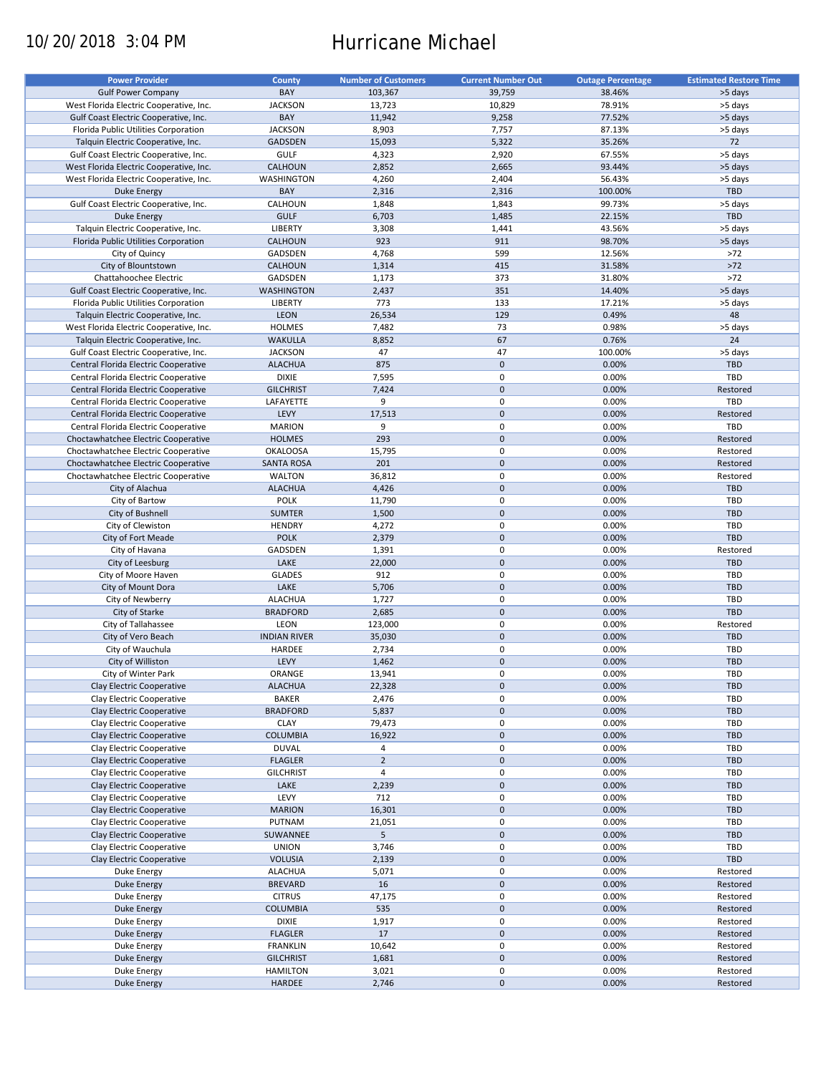# 10/20/2018 3:04 PM Hurricane Michael

| <b>Power Provider</b>                   | <b>County</b>       | <b>Number of Customers</b> | <b>Current Number Out</b> | <b>Outage Percentage</b> | <b>Estimated Restore Time</b> |
|-----------------------------------------|---------------------|----------------------------|---------------------------|--------------------------|-------------------------------|
|                                         |                     |                            |                           |                          |                               |
| <b>Gulf Power Company</b>               | BAY                 | 103,367                    | 39,759                    | 38.46%                   | >5 days                       |
| West Florida Electric Cooperative, Inc. | <b>JACKSON</b>      | 13,723                     | 10,829                    | 78.91%                   | >5 days                       |
| Gulf Coast Electric Cooperative, Inc.   | BAY                 | 11,942                     | 9,258                     | 77.52%                   | >5 days                       |
| Florida Public Utilities Corporation    | <b>JACKSON</b>      | 8,903                      | 7,757                     | 87.13%                   | >5 days                       |
| Talquin Electric Cooperative, Inc.      | GADSDEN             | 15,093                     | 5,322                     | 35.26%                   | 72                            |
| Gulf Coast Electric Cooperative, Inc.   | <b>GULF</b>         | 4,323                      | 2,920                     | 67.55%                   | >5 days                       |
|                                         |                     |                            |                           |                          |                               |
| West Florida Electric Cooperative, Inc. | CALHOUN             | 2,852                      | 2,665                     | 93.44%                   | >5 days                       |
| West Florida Electric Cooperative, Inc. | WASHINGTON          | 4,260                      | 2,404                     | 56.43%                   | >5 days                       |
| <b>Duke Energy</b>                      | BAY                 | 2,316                      | 2,316                     | 100.00%                  | TBD                           |
| Gulf Coast Electric Cooperative, Inc.   | CALHOUN             | 1,848                      | 1,843                     | 99.73%                   | >5 days                       |
| <b>Duke Energy</b>                      | <b>GULF</b>         | 6,703                      | 1,485                     | 22.15%                   | <b>TBD</b>                    |
| Talquin Electric Cooperative, Inc.      | <b>LIBERTY</b>      | 3,308                      | 1,441                     | 43.56%                   | >5 days                       |
|                                         |                     |                            |                           |                          |                               |
| Florida Public Utilities Corporation    | CALHOUN             | 923                        | 911                       | 98.70%                   | >5 days                       |
| City of Quincy                          | GADSDEN             | 4,768                      | 599                       | 12.56%                   | $>72$                         |
| City of Blountstown                     | <b>CALHOUN</b>      | 1,314                      | 415                       | 31.58%                   | $>72$                         |
| Chattahoochee Electric                  | GADSDEN             | 1,173                      | 373                       | 31.80%                   | $>72$                         |
| Gulf Coast Electric Cooperative, Inc.   | <b>WASHINGTON</b>   | 2,437                      | 351                       | 14.40%                   | >5 days                       |
| Florida Public Utilities Corporation    | LIBERTY             | 773                        | 133                       | 17.21%                   | >5 days                       |
|                                         |                     |                            |                           |                          |                               |
| Talquin Electric Cooperative, Inc.      | LEON                | 26,534                     | 129                       | 0.49%                    | 48                            |
| West Florida Electric Cooperative, Inc. | <b>HOLMES</b>       | 7,482                      | 73                        | 0.98%                    | >5 days                       |
| Talquin Electric Cooperative, Inc.      | <b>WAKULLA</b>      | 8,852                      | 67                        | 0.76%                    | 24                            |
| Gulf Coast Electric Cooperative, Inc.   | <b>JACKSON</b>      | 47                         | 47                        | 100.00%                  | >5 days                       |
| Central Florida Electric Cooperative    | <b>ALACHUA</b>      | 875                        | $\mathbf 0$               | 0.00%                    | <b>TBD</b>                    |
|                                         |                     |                            | $\mathbf 0$               |                          |                               |
| Central Florida Electric Cooperative    | <b>DIXIE</b>        | 7,595                      |                           | 0.00%                    | TBD                           |
| Central Florida Electric Cooperative    | <b>GILCHRIST</b>    | 7,424                      | $\mathbf 0$               | 0.00%                    | Restored                      |
| Central Florida Electric Cooperative    | LAFAYETTE           | 9                          | $\mathbf 0$               | 0.00%                    | <b>TBD</b>                    |
| Central Florida Electric Cooperative    | LEVY                | 17,513                     | $\mathbf 0$               | 0.00%                    | Restored                      |
| Central Florida Electric Cooperative    | <b>MARION</b>       | 9                          | $\mathbf 0$               | 0.00%                    | TBD                           |
| Choctawhatchee Electric Cooperative     | <b>HOLMES</b>       | 293                        | $\mathbf 0$               | 0.00%                    | Restored                      |
|                                         |                     |                            |                           |                          |                               |
| Choctawhatchee Electric Cooperative     | <b>OKALOOSA</b>     | 15,795                     | $\mathbf 0$               | 0.00%                    | Restored                      |
| Choctawhatchee Electric Cooperative     | <b>SANTA ROSA</b>   | 201                        | $\mathbf 0$               | 0.00%                    | Restored                      |
| Choctawhatchee Electric Cooperative     | <b>WALTON</b>       | 36,812                     | 0                         | 0.00%                    | Restored                      |
| City of Alachua                         | <b>ALACHUA</b>      | 4,426                      | $\mathbf 0$               | 0.00%                    | <b>TBD</b>                    |
| City of Bartow                          | <b>POLK</b>         | 11,790                     | 0                         | 0.00%                    | TBD                           |
|                                         | <b>SUMTER</b>       | 1,500                      | $\mathbf 0$               | 0.00%                    | <b>TBD</b>                    |
| City of Bushnell                        |                     |                            |                           |                          |                               |
| City of Clewiston                       | <b>HENDRY</b>       | 4,272                      | 0                         | 0.00%                    | TBD                           |
| City of Fort Meade                      | <b>POLK</b>         | 2,379                      | $\mathbf 0$               | 0.00%                    | <b>TBD</b>                    |
| City of Havana                          | GADSDEN             | 1,391                      | $\pmb{0}$                 | 0.00%                    | Restored                      |
| City of Leesburg                        | LAKE                | 22,000                     | $\mathbf 0$               | 0.00%                    | <b>TBD</b>                    |
| City of Moore Haven                     | <b>GLADES</b>       | 912                        | 0                         | 0.00%                    | TBD                           |
| City of Mount Dora                      | LAKE                | 5,706                      | $\pmb{0}$                 | 0.00%                    | <b>TBD</b>                    |
|                                         |                     |                            |                           |                          |                               |
| City of Newberry                        | <b>ALACHUA</b>      | 1,727                      | $\pmb{0}$                 | 0.00%                    | TBD                           |
| City of Starke                          | <b>BRADFORD</b>     | 2,685                      | $\mathbf 0$               | 0.00%                    | <b>TBD</b>                    |
| City of Tallahassee                     | LEON                | 123,000                    | $\mathbf 0$               | 0.00%                    | Restored                      |
| City of Vero Beach                      | <b>INDIAN RIVER</b> | 35,030                     | $\mathbf 0$               | 0.00%                    | <b>TBD</b>                    |
| City of Wauchula                        | HARDEE              | 2,734                      | 0                         | 0.00%                    | <b>TBD</b>                    |
| City of Williston                       | LEVY                | 1,462                      | $\mathbf 0$               | 0.00%                    | <b>TBD</b>                    |
|                                         |                     |                            | $\mathbf 0$               |                          |                               |
| City of Winter Park                     | ORANGE              | 13,941                     |                           | 0.00%                    | TBD                           |
| Clay Electric Cooperative               | <b>ALACHUA</b>      | 22,328                     | $\pmb{0}$                 | 0.00%                    | TBD                           |
| Clay Electric Cooperative               | <b>BAKER</b>        | 2,476                      | 0                         | 0.00%                    | TBD                           |
| Clay Electric Cooperative               | <b>BRADFORD</b>     | 5,837                      | 0                         | 0.00%                    | <b>TBD</b>                    |
| Clay Electric Cooperative               | <b>CLAY</b>         | 79,473                     | 0                         | 0.00%                    | TBD                           |
| Clay Electric Cooperative               | <b>COLUMBIA</b>     | 16,922                     | $\pmb{0}$                 | 0.00%                    | TBD                           |
|                                         |                     |                            |                           |                          |                               |
| Clay Electric Cooperative               | <b>DUVAL</b>        | 4                          | 0                         | 0.00%                    | TBD                           |
| Clay Electric Cooperative               | <b>FLAGLER</b>      | $\overline{2}$             | $\pmb{0}$                 | 0.00%                    | TBD                           |
| Clay Electric Cooperative               | <b>GILCHRIST</b>    | $\sqrt{4}$                 | 0                         | 0.00%                    | TBD                           |
| Clay Electric Cooperative               | LAKE                | 2,239                      | $\pmb{0}$                 | 0.00%                    | <b>TBD</b>                    |
| Clay Electric Cooperative               | LEVY                | 712                        | 0                         | 0.00%                    | TBD                           |
| Clay Electric Cooperative               | <b>MARION</b>       | 16,301                     | $\pmb{0}$                 | 0.00%                    | <b>TBD</b>                    |
|                                         |                     |                            |                           |                          |                               |
| Clay Electric Cooperative               | PUTNAM              | 21,051                     | 0                         | 0.00%                    | TBD                           |
| Clay Electric Cooperative               | SUWANNEE            | 5                          | $\pmb{0}$                 | 0.00%                    | TBD                           |
| Clay Electric Cooperative               | <b>UNION</b>        | 3,746                      | 0                         | 0.00%                    | TBD                           |
| Clay Electric Cooperative               | <b>VOLUSIA</b>      | 2,139                      | $\pmb{0}$                 | 0.00%                    | TBD                           |
| Duke Energy                             | <b>ALACHUA</b>      | 5,071                      | 0                         | 0.00%                    | Restored                      |
| Duke Energy                             | <b>BREVARD</b>      | 16                         | $\pmb{0}$                 | 0.00%                    | Restored                      |
|                                         |                     |                            |                           |                          |                               |
| Duke Energy                             | <b>CITRUS</b>       | 47,175                     | $\pmb{0}$                 | 0.00%                    | Restored                      |
| Duke Energy                             | <b>COLUMBIA</b>     | 535                        | $\pmb{0}$                 | 0.00%                    | Restored                      |
| Duke Energy                             | <b>DIXIE</b>        | 1,917                      | $\mathbf 0$               | 0.00%                    | Restored                      |
| <b>Duke Energy</b>                      | <b>FLAGLER</b>      | 17                         | $\pmb{0}$                 | 0.00%                    | Restored                      |
| Duke Energy                             | <b>FRANKLIN</b>     | 10,642                     | $\mathbf 0$               | 0.00%                    | Restored                      |
| <b>Duke Energy</b>                      | <b>GILCHRIST</b>    | 1,681                      | $\pmb{0}$                 | 0.00%                    | Restored                      |
|                                         |                     |                            |                           |                          |                               |
| Duke Energy                             | <b>HAMILTON</b>     | 3,021                      | $\pmb{0}$                 | 0.00%                    | Restored                      |
| <b>Duke Energy</b>                      | HARDEE              | 2,746                      | $\pmb{0}$                 | 0.00%                    | Restored                      |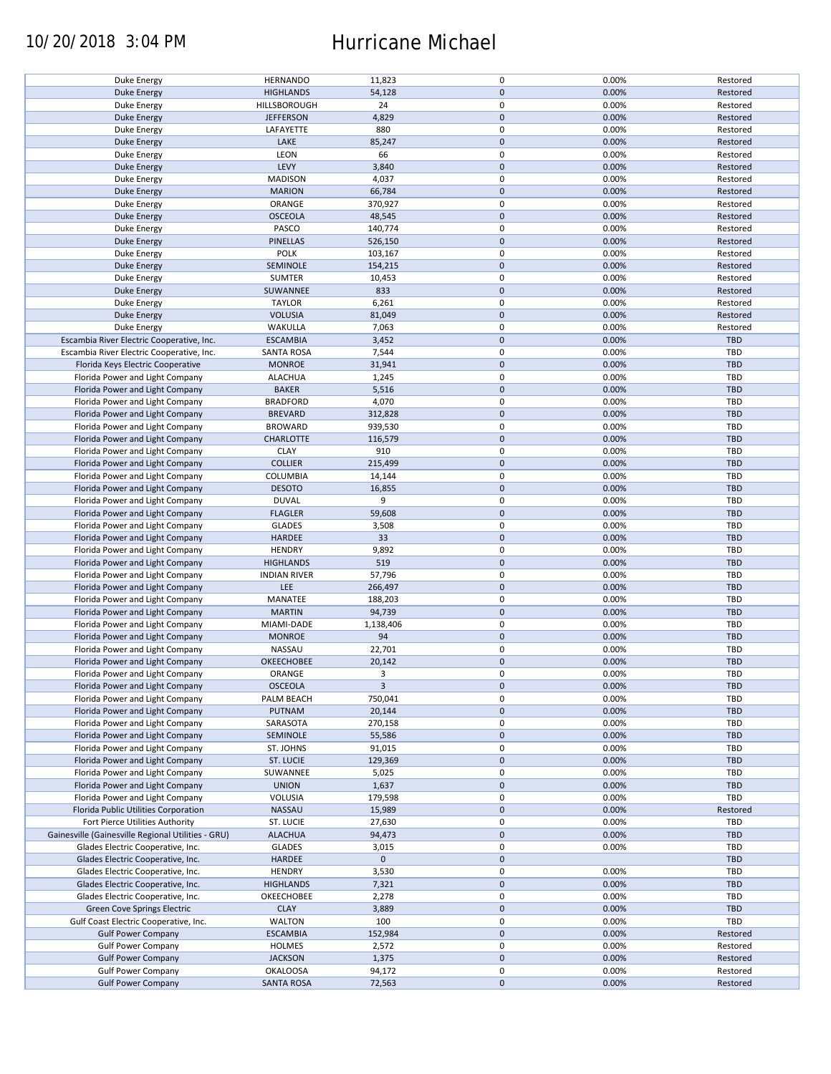### 10/20/2018 3:04 PM Hurricane Michael

| Duke Energy                                        | <b>HERNANDO</b>     | 11,823       | $\mathbf 0$ | 0.00% | Restored   |
|----------------------------------------------------|---------------------|--------------|-------------|-------|------------|
| <b>Duke Energy</b>                                 | <b>HIGHLANDS</b>    | 54,128       | $\mathbf 0$ | 0.00% | Restored   |
|                                                    | HILLSBOROUGH        | 24           | 0           |       |            |
| Duke Energy                                        |                     |              |             | 0.00% | Restored   |
| <b>Duke Energy</b>                                 | <b>JEFFERSON</b>    | 4,829        | $\mathbf 0$ | 0.00% | Restored   |
| Duke Energy                                        | LAFAYETTE           | 880          | 0           | 0.00% | Restored   |
| <b>Duke Energy</b>                                 | LAKE                | 85,247       | $\mathbf 0$ | 0.00% | Restored   |
|                                                    |                     |              |             |       |            |
| Duke Energy                                        | LEON                | 66           | 0           | 0.00% | Restored   |
| <b>Duke Energy</b>                                 | LEVY                | 3,840        | $\mathbf 0$ | 0.00% | Restored   |
|                                                    |                     | 4,037        | $\mathbf 0$ | 0.00% | Restored   |
| Duke Energy                                        | <b>MADISON</b>      |              |             |       |            |
| Duke Energy                                        | <b>MARION</b>       | 66,784       | $\mathbf 0$ | 0.00% | Restored   |
| Duke Energy                                        | ORANGE              | 370,927      | $\mathbf 0$ | 0.00% | Restored   |
|                                                    |                     |              | $\pmb{0}$   |       |            |
| <b>Duke Energy</b>                                 | <b>OSCEOLA</b>      | 48,545       |             | 0.00% | Restored   |
| Duke Energy                                        | PASCO               | 140,774      | $\mathbf 0$ | 0.00% | Restored   |
| <b>Duke Energy</b>                                 | PINELLAS            | 526,150      | $\mathbf 0$ | 0.00% | Restored   |
|                                                    |                     |              | $\mathbf 0$ |       |            |
| Duke Energy                                        | <b>POLK</b>         | 103,167      |             | 0.00% | Restored   |
| <b>Duke Energy</b>                                 | SEMINOLE            | 154,215      | $\mathbf 0$ | 0.00% | Restored   |
| Duke Energy                                        | <b>SUMTER</b>       | 10,453       | $\pmb{0}$   | 0.00% | Restored   |
|                                                    |                     |              | $\mathbf 0$ |       |            |
| <b>Duke Energy</b>                                 | SUWANNEE            | 833          |             | 0.00% | Restored   |
| Duke Energy                                        | <b>TAYLOR</b>       | 6,261        | $\pmb{0}$   | 0.00% | Restored   |
| <b>Duke Energy</b>                                 | <b>VOLUSIA</b>      | 81,049       | $\mathbf 0$ | 0.00% | Restored   |
|                                                    |                     |              |             |       |            |
| Duke Energy                                        | WAKULLA             | 7,063        | $\pmb{0}$   | 0.00% | Restored   |
| Escambia River Electric Cooperative, Inc.          | <b>ESCAMBIA</b>     | 3,452        | $\pmb{0}$   | 0.00% | TBD        |
| Escambia River Electric Cooperative, Inc.          | <b>SANTA ROSA</b>   | 7,544        | 0           | 0.00% | <b>TBD</b> |
|                                                    |                     |              |             |       |            |
| Florida Keys Electric Cooperative                  | <b>MONROE</b>       | 31,941       | $\mathbf 0$ | 0.00% | TBD        |
| Florida Power and Light Company                    | <b>ALACHUA</b>      | 1,245        | 0           | 0.00% | TBD        |
|                                                    |                     |              |             |       | <b>TBD</b> |
| Florida Power and Light Company                    | <b>BAKER</b>        | 5,516        | $\pmb{0}$   | 0.00% |            |
| Florida Power and Light Company                    | <b>BRADFORD</b>     | 4,070        | $\mathbf 0$ | 0.00% | TBD        |
| Florida Power and Light Company                    | <b>BREVARD</b>      | 312,828      | $\pmb{0}$   | 0.00% | <b>TBD</b> |
|                                                    |                     |              |             |       |            |
| Florida Power and Light Company                    | <b>BROWARD</b>      | 939,530      | $\pmb{0}$   | 0.00% | TBD        |
| Florida Power and Light Company                    | <b>CHARLOTTE</b>    | 116,579      | $\mathbf 0$ | 0.00% | <b>TBD</b> |
| Florida Power and Light Company                    | <b>CLAY</b>         | 910          | 0           | 0.00% | TBD        |
|                                                    |                     |              |             |       |            |
| Florida Power and Light Company                    | <b>COLLIER</b>      | 215,499      | $\mathbf 0$ | 0.00% | <b>TBD</b> |
| Florida Power and Light Company                    | COLUMBIA            | 14,144       | $\pmb{0}$   | 0.00% | TBD        |
| Florida Power and Light Company                    | <b>DESOTO</b>       | 16,855       | $\pmb{0}$   | 0.00% | <b>TBD</b> |
|                                                    |                     |              |             |       |            |
| Florida Power and Light Company                    | <b>DUVAL</b>        | 9            | $\pmb{0}$   | 0.00% | TBD        |
| Florida Power and Light Company                    | <b>FLAGLER</b>      | 59,608       | $\pmb{0}$   | 0.00% | <b>TBD</b> |
|                                                    |                     |              |             |       |            |
| Florida Power and Light Company                    | <b>GLADES</b>       | 3,508        | $\pmb{0}$   | 0.00% | TBD        |
| Florida Power and Light Company                    | HARDEE              | 33           | $\mathbf 0$ | 0.00% | <b>TBD</b> |
| Florida Power and Light Company                    | <b>HENDRY</b>       | 9,892        | $\pmb{0}$   | 0.00% | TBD        |
|                                                    |                     |              |             |       |            |
| Florida Power and Light Company                    | <b>HIGHLANDS</b>    | 519          | $\pmb{0}$   | 0.00% | <b>TBD</b> |
| Florida Power and Light Company                    | <b>INDIAN RIVER</b> | 57,796       | $\pmb{0}$   | 0.00% | TBD        |
|                                                    | LEE                 | 266,497      | $\mathbf 0$ | 0.00% | <b>TBD</b> |
| Florida Power and Light Company                    |                     |              |             |       |            |
| Florida Power and Light Company                    | MANATEE             | 188,203      | 0           | 0.00% | <b>TBD</b> |
| Florida Power and Light Company                    | <b>MARTIN</b>       | 94,739       | $\mathbf 0$ | 0.00% | <b>TBD</b> |
|                                                    |                     |              |             |       |            |
| Florida Power and Light Company                    | MIAMI-DADE          | 1,138,406    | $\mathbf 0$ | 0.00% | <b>TBD</b> |
| Florida Power and Light Company                    | <b>MONROE</b>       | 94           | $\mathbf 0$ | 0.00% | <b>TBD</b> |
| Florida Power and Light Company                    | NASSAU              | 22,701       | 0           | 0.00% | <b>TBD</b> |
|                                                    |                     |              |             |       |            |
| Florida Power and Light Company                    | OKEECHOBEE          | 20,142       | $\mathbf 0$ | 0.00% | <b>TBD</b> |
| Florida Power and Light Company                    | ORANGE              | 3            | $\mathbf 0$ | 0.00% | TBD        |
| Florida Power and Light Company                    | <b>OSCEOLA</b>      | $\mathbf{3}$ | $\pmb{0}$   | 0.00% | <b>TBD</b> |
|                                                    |                     |              |             |       |            |
| Florida Power and Light Company                    | PALM BEACH          | 750,041      | 0           | 0.00% | TBD        |
| Florida Power and Light Company                    | PUTNAM              | 20,144       | $\pmb{0}$   | 0.00% | TBD        |
|                                                    |                     |              | 0           |       |            |
| Florida Power and Light Company                    | SARASOTA            | 270,158      |             | 0.00% | TBD        |
| Florida Power and Light Company                    | SEMINOLE            | 55,586       | $\mathbf 0$ | 0.00% | <b>TBD</b> |
| Florida Power and Light Company                    | ST. JOHNS           | 91,015       | 0           | 0.00% | TBD        |
|                                                    |                     |              |             |       |            |
| Florida Power and Light Company                    | ST. LUCIE           | 129,369      | $\mathbf 0$ | 0.00% | <b>TBD</b> |
| Florida Power and Light Company                    | SUWANNEE            | 5,025        | 0           | 0.00% | TBD        |
| Florida Power and Light Company                    | <b>UNION</b>        | 1,637        | $\pmb{0}$   | 0.00% | <b>TBD</b> |
|                                                    |                     |              |             |       |            |
| Florida Power and Light Company                    | VOLUSIA             | 179,598      | 0           | 0.00% | TBD        |
| Florida Public Utilities Corporation               | NASSAU              | 15,989       | $\pmb{0}$   | 0.00% | Restored   |
|                                                    |                     |              |             |       | TBD        |
| Fort Pierce Utilities Authority                    | ST. LUCIE           | 27,630       | 0           | 0.00% |            |
| Gainesville (Gainesville Regional Utilities - GRU) | <b>ALACHUA</b>      | 94,473       | $\pmb{0}$   | 0.00% | <b>TBD</b> |
| Glades Electric Cooperative, Inc.                  | <b>GLADES</b>       | 3,015        | $\pmb{0}$   | 0.00% | TBD        |
|                                                    |                     |              |             |       |            |
| Glades Electric Cooperative, Inc.                  | <b>HARDEE</b>       | $\mathbf 0$  | $\pmb{0}$   |       | TBD        |
| Glades Electric Cooperative, Inc.                  | <b>HENDRY</b>       | 3,530        | $\pmb{0}$   | 0.00% | TBD        |
| Glades Electric Cooperative, Inc.                  | <b>HIGHLANDS</b>    | 7,321        | $\mathbf 0$ | 0.00% | <b>TBD</b> |
|                                                    |                     |              |             |       |            |
| Glades Electric Cooperative, Inc.                  | OKEECHOBEE          | 2,278        | 0           | 0.00% | TBD        |
| Green Cove Springs Electric                        | <b>CLAY</b>         | 3,889        | $\pmb{0}$   | 0.00% | TBD        |
| Gulf Coast Electric Cooperative, Inc.              | WALTON              | 100          | 0           | 0.00% | TBD        |
|                                                    |                     |              |             |       |            |
| <b>Gulf Power Company</b>                          | <b>ESCAMBIA</b>     | 152,984      | $\pmb{0}$   | 0.00% | Restored   |
| <b>Gulf Power Company</b>                          | HOLMES              | 2,572        | 0           | 0.00% | Restored   |
|                                                    |                     |              |             |       |            |
| <b>Gulf Power Company</b>                          | <b>JACKSON</b>      | 1,375        | $\pmb{0}$   | 0.00% | Restored   |
| <b>Gulf Power Company</b>                          | <b>OKALOOSA</b>     | 94,172       | 0           | 0.00% | Restored   |
| <b>Gulf Power Company</b>                          | <b>SANTA ROSA</b>   | 72,563       | $\pmb{0}$   | 0.00% | Restored   |
|                                                    |                     |              |             |       |            |